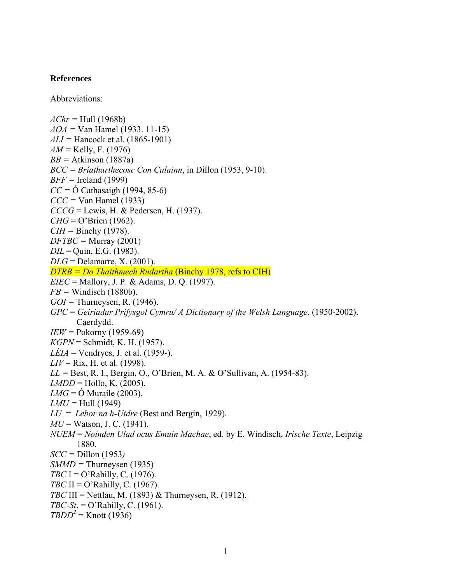## **References**

Abbreviations:

*AChr =* Hull (1968b) *AOA =* Van Hamel (1933. 11-15) *ALI =* Hancock et al. (1865-1901) *AM =* Kelly, F. (1976) *BB =* Atkinson (1887a) *BCC = Bríatharthecosc Con Culainn*, in Dillon (1953, 9-10). *BFF =* Ireland (1999) *CC =* Ó Cathasaigh (1994, 85-6) *CCC =* Van Hamel (1933) *CCCG* = Lewis, H. & Pedersen, H. (1937). *CHG* = O'Brien (1962).  $CIH =$  Binchy (1978). *DFTBC =* Murray (2001) *DIL* = Quin, E.G. (1983). *DLG* = Delamarre, X. (2001). *DTRB = Do Thaithmech Rudartha* (Binchy 1978, refs to CIH) *EIEC* = Mallory, J. P. & Adams, D. Q. (1997). *FB =* Windisch (1880b). *GOI =* Thurneysen, R. (1946). *GPC* = *Geiriadur Prifysgol Cymru/ A Dictionary of the Welsh Language*. (1950-2002). Caerdydd. *IEW =* Pokorny (1959-69) *KGPN* = Schmidt, K. H. (1957). *LÉIA* = Vendryes, J. et al. (1959-). *LIV* = Rix, H. et al. (1998). *LL =* Best, R. I., Bergin, O., O'Brien, M. A. & O'Sullivan, A. (1954-83).  $LMDD =$  Hollo, K. (2005). *LMG* = Ó Muraíle (2003).  $LMU = Hull (1949)$ *LU* = *Lebor na h-Uidre* (Best and Bergin, 1929)*.*   $MU = W$ atson, J. C. (1941). *NUEM* = *Noínden Ulad ocus Emuin Machae*, ed. by E. Windisch, *Irische Texte*, Leipzig 1880. *SCC =* Dillon (1953*) SMMD =* Thurneysen (1935) *TBC* I = O'Rahilly, C. (1976). *TBC* II = O'Rahilly, C. (1967). *TBC* III = Nettlau, M. (1893) & Thurneysen, R. (1912). *TBC-St*. = O'Rahilly, C. (1961).  $TBDD<sup>2</sup>$  = Knott (1936)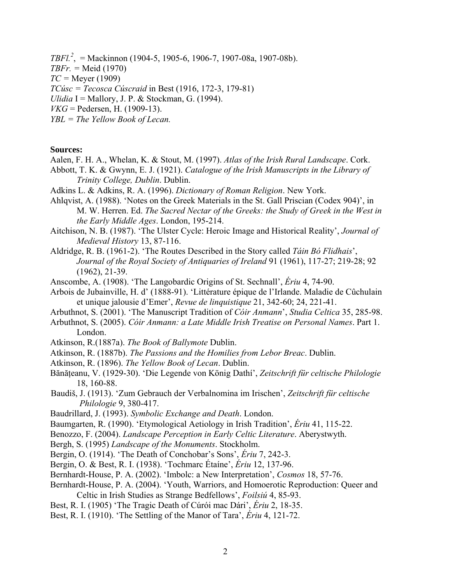- *TBFl.2* , = Mackinnon (1904-5, 1905-6, 1906-7, 1907-08a, 1907-08b).
- *TBFr. =* Meid (1970)
- *TC =* Meyer (1909)
- *TCúsc = Tecosca Cúscraid* in Best (1916, 172-3, 179-81)
- *Ulidia* I = Mallory, J. P. & Stockman, G. (1994).
- $VKG = Pedersen, H. (1909-13).$
- *YBL = The Yellow Book of Lecan.*

## **Sources:**

- Aalen, F. H. A., Whelan, K. & Stout, M. (1997). *Atlas of the Irish Rural Landscape*. Cork.
- Abbott, T. K. & Gwynn, E. J. (1921). *Catalogue of the Irish Manuscripts in the Library of Trinity College, Dublin*. Dublin.
- Adkins L. & Adkins, R. A. (1996). *Dictionary of Roman Religion*. New York.
- Ahlqvist, A. (1988). 'Notes on the Greek Materials in the St. Gall Priscian (Codex 904)', in M. W. Herren. Ed. *The Sacred Nectar of the Greeks: the Study of Greek in the West in the Early Middle Ages*. London, 195-214.
- Aitchison, N. B. (1987). 'The Ulster Cycle: Heroic Image and Historical Reality', *Journal of Medieval History* 13, 87-116.
- Aldridge, R. B. (1961-2). 'The Routes Described in the Story called *Táin Bó Flidhais*', *Journal of the Royal Society of Antiquaries of Ireland* 91 (1961), 117-27; 219-28; 92 (1962), 21-39.
- Anscombe, A. (1908). 'The Langobardic Origins of St. Sechnall', *Ériu* 4, 74-90.
- Arbois de Jubainville, H. d' (1888-91). 'Littérature épique de l'Irlande. Maladie de Cûchulain et unique jalousie d'Emer', *Revue de linquistique* 21, 342-60; 24, 221-41.
- Arbuthnot, S. (2001). 'The Manuscript Tradition of *Cóir Anmann*', *Studia Celtica* 35, 285-98.
- Arbuthnot, S. (2005). *Cóir Anmann: a Late Middle Irish Treatise on Personal Names*. Part 1. London.
- Atkinson, R.(1887a). *The Book of Ballymote* Dublin.
- Atkinson, R. (1887b). *The Passions and the Homilies from Lebor Breac*. Dublin.
- Atkinson, R. (1896). *The Yellow Book of Lecan*. Dublin.
- Bănățeanu, V. (1929-30). 'Die Legende von König Dathí', Zeitschrift für celtische Philologie 18, 160-88.
- Baudiš, J. (1913). 'Zum Gebrauch der Verbalnomina im Irischen', *Zeitschrift für celtische Philologie* 9, 380-417.
- Baudrillard, J. (1993). *Symbolic Exchange and Death*. London.
- Baumgarten, R. (1990). 'Etymological Aetiology in Irish Tradition', *Ériu* 41, 115-22.
- Benozzo, F. (2004). *Landscape Perception in Early Celtic Literature*. Aberystwyth.
- Bergh, S. (1995) *Landscape of the Monuments*. Stockholm.
- Bergin, O. (1914). 'The Death of Conchobar's Sons', *Ériu* 7, 242-3.
- Bergin, O. & Best, R. I. (1938). 'Tochmarc Étaíne', *Ériu* 12, 137-96.
- Bernhardt-House, P. A. (2002). 'Imbolc: a New Interpretation', *Cosmos* 18, 57-76.
- Bernhardt-House, P. A. (2004). 'Youth, Warriors, and Homoerotic Reproduction: Queer and Celtic in Irish Studies as Strange Bedfellows', *Foilsiú* 4, 85-93.
- Best, R. I. (1905) 'The Tragic Death of Cúrói mac Dári', *Ériu* 2, 18-35.
- Best, R. I. (1910). 'The Settling of the Manor of Tara', *Ériu* 4, 121-72.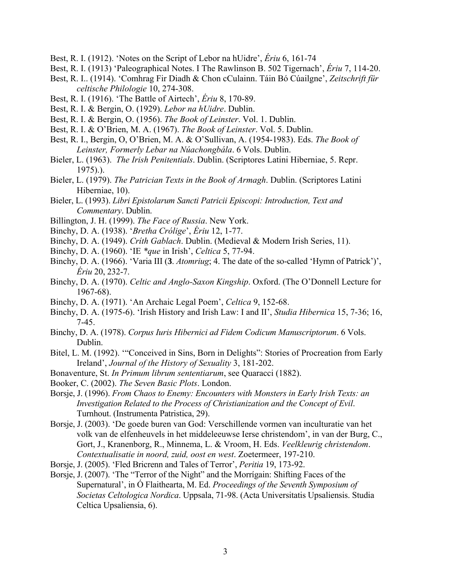- Best, R. I. (1912). 'Notes on the Script of Lebor na hUidre', *Ériu* 6, 161-74
- Best, R. I. (1913) 'Paleographical Notes. I The Rawlinson B. 502 Tigernach', *Ériu* 7, 114-20.
- Best, R. I.. (1914). 'Comhrag Fir Diadh & Chon cCulainn. Táin Bó Cúailgne', *Zeitschrift für celtische Philologie* 10, 274-308.
- Best, R. I. (1916). 'The Battle of Airtech', *Ériu* 8, 170-89.
- Best, R. I. & Bergin, O. (1929). *Lebor na hUidre*. Dublin.
- Best, R. I. & Bergin, O. (1956). *The Book of Leinster*. Vol. 1. Dublin.
- Best, R. I. & O'Brien, M. A. (1967). *The Book of Leinster*. Vol. 5. Dublin.
- Best, R. I., Bergin, O, O'Brien, M. A. & O'Sullivan, A. (1954-1983). Eds. *The Book of Leinster, Formerly Lebar na Núachongbála*. 6 Vols. Dublin.
- Bieler, L. (1963). *The Irish Penitentials*. Dublin. (Scriptores Latini Hiberniae, 5. Repr. 1975).).
- Bieler, L. (1979). *The Patrician Texts in the Book of Armagh*. Dublin. (Scriptores Latini Hiberniae, 10).
- Bieler, L. (1993). *Libri Epistolarum Sancti Patricii Episcopi: Introduction, Text and Commentary*. Dublin.
- Billington, J. H. (1999). *The Face of Russia*. New York.
- Binchy, D. A. (1938). '*Bretha Crólige*', *Ériu* 12, 1-77.
- Binchy, D. A. (1949). *Críth Gablach*. Dublin. (Medieval & Modern Irish Series, 11).
- Binchy, D. A. (1960). 'IE *\*que* in Irish', *Celtica* 5, 77-94.
- Binchy, D. A. (1966). 'Varia III (**3**. *Atomriug*; 4. The date of the so-called 'Hymn of Patrick')', *Ériu* 20, 232-7.
- Binchy, D. A. (1970). *Celtic and Anglo-Saxon Kingship*. Oxford. (The O'Donnell Lecture for 1967-68).
- Binchy, D. A. (1971). 'An Archaic Legal Poem', *Celtica* 9, 152-68.
- Binchy, D. A. (1975-6). 'Irish History and Irish Law: I and II', *Studia Hibernica* 15, 7-36; 16, 7-45.
- Binchy, D. A. (1978). *Corpus Iuris Hibernici ad Fidem Codicum Manuscriptorum*. 6 Vols. Dublin.
- Bitel, L. M. (1992). '"Conceived in Sins, Born in Delights": Stories of Procreation from Early Ireland', *Journal of the History of Sexuality* 3, 181-202.
- Bonaventure, St. *In Primum librum sententiarum*, see Quaracci (1882).
- Booker, C. (2002). *The Seven Basic Plots*. London.
- Borsje, J. (1996). *From Chaos to Enemy: Encounters with Monsters in Early Irish Texts: an Investigation Related to the Process of Christianization and the Concept of Evil*. Turnhout. (Instrumenta Patristica, 29).
- Borsje, J. (2003). 'De goede buren van God: Verschillende vormen van inculturatie van het volk van de elfenheuvels in het middeleeuwse Ierse christendom', in van der Burg, C., Gort, J., Kranenborg, R., Minnema, L. & Vroom, H. Eds. *Veelkleurig christendom*. *Contextualisatie in noord, zuid, oost en west*. Zoetermeer, 197-210.
- Borsje, J. (2005). 'Fled Bricrenn and Tales of Terror', *Peritia* 19, 173-92.
- Borsje, J. (2007). 'The "Terror of the Night" and the Morrígain: Shifting Faces of the Supernatural', in Ó Flaithearta, M. Ed. *Proceedings of the Seventh Symposium of Societas Celtologica Nordica*. Uppsala, 71-98. (Acta Universitatis Upsaliensis. Studia Celtica Upsaliensia, 6).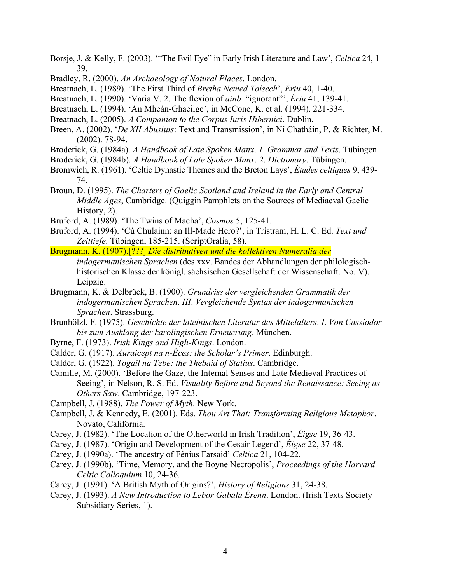- Borsje, J. & Kelly, F. (2003). '"The Evil Eye" in Early Irish Literature and Law', *Celtica* 24, 1- 39.
- Bradley, R. (2000). *An Archaeology of Natural Places*. London.
- Breatnach, L. (1989). 'The First Third of *Bretha Nemed Toísech*', *Ériu* 40, 1-40.
- Breatnach, L. (1990). 'Varia V. 2. The flexion of *ainb* "ignorant"', *Ériu* 41, 139-41.
- Breatnach, L. (1994). 'An Mheán-Ghaeilge', in McCone, K. et al. (1994). 221-334.
- Breatnach, L. (2005). *A Companion to the Corpus Iuris Hibernici*. Dublin.
- Breen, A. (2002). '*De XII Abusiuis*: Text and Transmission', in Ní Chatháin, P. & Richter, M. (2002). 78-94.
- Broderick, G. (1984a). *A Handbook of Late Spoken Manx*. *1*. *Grammar and Texts*. Tübingen.
- Broderick, G. (1984b). *A Handbook of Late Spoken Manx*. *2*. *Dictionary*. Tübingen.
- Bromwich, R. (1961). 'Celtic Dynastic Themes and the Breton Lays', *Études celtiques* 9, 439- 74.
- Broun, D. (1995). *The Charters of Gaelic Scotland and Ireland in the Early and Central Middle Ages*, Cambridge. (Quiggin Pamphlets on the Sources of Mediaeval Gaelic History, 2).
- Bruford, A. (1989). 'The Twins of Macha', *Cosmos* 5, 125-41.
- Bruford, A. (1994). 'Cú Chulainn: an Ill-Made Hero?', in Tristram, H. L. C. Ed. *Text und Zeittiefe*. Tübingen, 185-215. (ScriptOralia, 58).
- Brugmann, K. (1907).[???] *Die distributiven und die kollektiven Numeralia der indogermanischen Sprachen* (des xxv. Bandes der Abhandlungen der philologischhistorischen Klasse der königl. sächsischen Gesellschaft der Wissenschaft. No. V). Leipzig.
- Brugmann, K. & Delbrück, B. (1900). *Grundriss der vergleichenden Grammatik der indogermanischen Sprachen*. *III*. *Vergleichende Syntax der indogermanischen Sprachen*. Strassburg.
- Brunhölzl, F. (1975). *Geschichte der lateinischen Literatur des Mittelalters*. *I*. *Von Cassiodor bis zum Ausklang der karolingischen Erneuerung*. München.
- Byrne, F. (1973). *Irish Kings and High-Kings*. London.
- Calder, G. (1917). *Auraicept na n-Éces: the Scholar's Primer*. Edinburgh.
- Calder, G. (1922). *Togail na Tebe: the Thebaid of Statius*. Cambridge.
- Camille, M. (2000). 'Before the Gaze, the Internal Senses and Late Medieval Practices of Seeing', in Nelson, R. S. Ed. *Visuality Before and Beyond the Renaissance: Seeing as Others Saw*. Cambridge, 197-223.
- Campbell, J. (1988). *The Power of Myth*. New York.
- Campbell, J. & Kennedy, E. (2001). Eds. *Thou Art That: Transforming Religious Metaphor*. Novato, California.
- Carey, J. (1982). 'The Location of the Otherworld in Irish Tradition', *Éigse* 19, 36-43.
- Carey, J. (1987). 'Origin and Development of the Cesair Legend', *Éigse* 22, 37-48.
- Carey, J. (1990a). 'The ancestry of Fénius Farsaid' *Celtica* 21, 104-22.
- Carey, J. (1990b). 'Time, Memory, and the Boyne Necropolis', *Proceedings of the Harvard Celtic Colloquium* 10, 24-36.
- Carey, J. (1991). 'A British Myth of Origins?', *History of Religions* 31, 24-38.
- Carey, J. (1993). *A New Introduction to Lebor Gabála Érenn*. London. (Irish Texts Society Subsidiary Series, 1).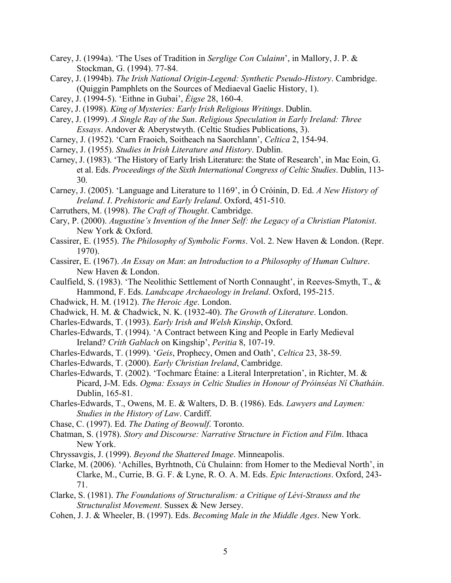- Carey, J. (1994a). 'The Uses of Tradition in *Serglige Con Culainn*', in Mallory, J. P. & Stockman, G. (1994). 77-84.
- Carey, J. (1994b). *The Irish National Origin-Legend: Synthetic Pseudo-History*. Cambridge. (Quiggin Pamphlets on the Sources of Mediaeval Gaelic History, 1).
- Carey, J. (1994-5). 'Eithne in Gubai', *Éigse* 28, 160-4.
- Carey, J. (1998). *King of Mysteries: Early Irish Religious Writings*. Dublin.
- Carey, J. (1999). *A Single Ray of the Sun*. *Religious Speculation in Early Ireland: Three Essays*. Andover & Aberystwyth. (Celtic Studies Publications, 3).
- Carney, J. (1952). 'Carn Fraoich, Soitheach na Saorchlann', *Celtica* 2, 154-94.
- Carney, J. (1955). *Studies in Irish Literature and History*. Dublin.
- Carney, J. (1983). 'The History of Early Irish Literature: the State of Research', in Mac Eoin, G. et al. Eds. *Proceedings of the Sixth International Congress of Celtic Studies*. Dublin, 113- 30.
- Carney, J. (2005). 'Language and Literature to 1169', in Ó Cróinín, D. Ed. *A New History of Ireland*. *I*. *Prehistoric and Early Ireland*. Oxford, 451-510.
- Carruthers, M. (1998). *The Craft of Thought*. Cambridge.
- Cary, P. (2000). *Augustine's Invention of the Inner Self: the Legacy of a Christian Platonist*. New York & Oxford.
- Cassirer, E. (1955). *The Philosophy of Symbolic Forms*. Vol. 2. New Haven & London. (Repr. 1970).
- Cassirer, E. (1967). *An Essay on Man*: *an Introduction to a Philosophy of Human Culture*. New Haven & London.
- Caulfield, S. (1983). 'The Neolithic Settlement of North Connaught', in Reeves-Smyth, T., & Hammond, F. Eds. *Landscape Archaeology in Ireland*. Oxford, 195-215.
- Chadwick, H. M. (1912). *The Heroic Age*. London.
- Chadwick, H. M. & Chadwick, N. K. (1932-40). *The Growth of Literature*. London.
- Charles-Edwards, T. (1993). *Early Irish and Welsh Kinship*, Oxford.
- Charles-Edwards, T. (1994). 'A Contract between King and People in Early Medieval Ireland? *Críth Gablach* on Kingship', *Peritia* 8, 107-19.
- Charles-Edwards, T. (1999). '*Geis*, Prophecy, Omen and Oath', *Celtica* 23, 38-59.
- Charles-Edwards, T. (2000). *Early Christian Ireland*, Cambridge.
- Charles-Edwards, T. (2002). 'Tochmarc Étaíne: a Literal Interpretation', in Richter, M. & Picard, J-M. Eds. *Ogma: Essays in Celtic Studies in Honour of Próinséas Ní Chatháin*. Dublin, 165-81.
- Charles-Edwards, T., Owens, M. E. & Walters, D. B. (1986). Eds. *Lawyers and Laymen: Studies in the History of Law*. Cardiff.
- Chase, C. (1997). Ed. *The Dating of Beowulf*. Toronto.
- Chatman, S. (1978). *Story and Discourse: Narrative Structure in Fiction and Film*. Ithaca New York.
- Chryssavgis, J. (1999). *Beyond the Shattered Image*. Minneapolis.
- Clarke, M. (2006). 'Achilles, Byrhtnoth, Cú Chulainn: from Homer to the Medieval North', in Clarke, M., Currie, B. G. F. & Lyne, R. O. A. M. Eds. *Epic Interactions*. Oxford, 243- 71.
- Clarke, S. (1981). *The Foundations of Structuralism: a Critique of Lévi-Strauss and the Structuralist Movement*. Sussex & New Jersey.
- Cohen, J. J. & Wheeler, B. (1997). Eds. *Becoming Male in the Middle Ages*. New York.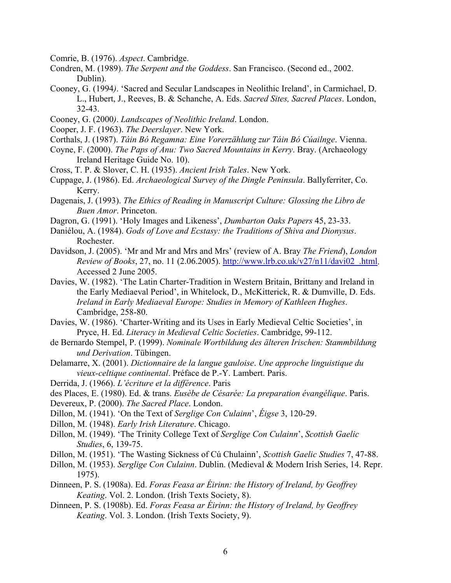Comrie, B. (1976). *Aspect*. Cambridge.

- Condren, M. (1989). *The Serpent and the Goddess*. San Francisco. (Second ed., 2002. Dublin).
- Cooney, G. (1994*)*. 'Sacred and Secular Landscapes in Neolithic Ireland', in Carmichael, D. L., Hubert, J., Reeves, B. & Schanche, A. Eds. *Sacred Sites, Sacred Places*. London, 32-43.
- Cooney, G. (2000*)*. *Landscapes of Neolithic Ireland*. London.
- Cooper, J. F. (1963). *The Deerslayer*. New York.
- Corthals, J. (1987). *Táin Bó Regamna: Eine Vorerzählung zur Táin Bó Cúailnge*. Vienna.
- Coyne, F. (2000). *The Paps of Anu: Two Sacred Mountains in Kerry*. Bray. (Archaeology Ireland Heritage Guide No. 10).
- Cross, T. P. & Slover, C. H. (1935). *Ancient Irish Tales*. New York.
- Cuppage, J. (1986). Ed. *Archaeological Survey of the Dingle Peninsula*. Ballyferriter, Co. Kerry.
- Dagenais, J. (1993). *The Ethics of Reading in Manuscript Culture: Glossing the Libro de Buen Amor*. Princeton.
- Dagron, G. (1991). 'Holy Images and Likeness', *Dumbarton Oaks Papers* 45, 23-33.
- Daniélou, A. (1984). *Gods of Love and Ecstasy: the Traditions of Shiva and Dionysus*. Rochester.
- Davidson, J. (2005). 'Mr and Mr and Mrs and Mrs' (review of A. Bray *The Friend*), *London Review of Books*, 27, no. 11 (2.06.2005). [http://www.lrb.co.uk/v27/n11/davi02\\_.html.](http://www.lrb.co.uk/v27/n11/davi02_.html) Accessed 2 June 2005.
- Davies, W. (1982). 'The Latin Charter-Tradition in Western Britain, Brittany and Ireland in the Early Mediaeval Period', in Whitelock, D., McKitterick, R. & Dumville, D. Eds. *Ireland in Early Mediaeval Europe: Studies in Memory of Kathleen Hughes*. Cambridge, 258-80.
- Davies, W. (1986). 'Charter-Writing and its Uses in Early Medieval Celtic Societies', in Pryce, H. Ed. *Literacy in Medieval Celtic Societies*. Cambridge, 99-112.
- de Bernardo Stempel, P. (1999). *Nominale Wortbildung des älteren Irischen: Stammbildung und Derivation*. Tübingen.
- Delamarre, X. (2001). *Dictionnaire de la langue gauloise*. *Une approche linguistique du vieux-celtique continental*. Préface de P.-Y. Lambert. Paris.
- Derrida, J. (1966). *L'écriture et la différence*. Paris
- des Places, E. (1980). Ed. & trans. *Eusèbe de Césarée: La preparation évangélique*. Paris.
- Devereux, P. (2000). *The Sacred Place*. London.
- Dillon, M. (1941). 'On the Text of *Serglige Con Culainn*', *Éigse* 3, 120-29.
- Dillon, M. (1948). *Early Irish Literature*. Chicago.
- Dillon, M. (1949). 'The Trinity College Text of *Serglige Con Culainn*', *Scottish Gaelic Studies*, 6, 139-75.
- Dillon, M. (1951). 'The Wasting Sickness of Cú Chulainn', *Scottish Gaelic Studies* 7, 47-88.
- Dillon, M. (1953). *Serglige Con Culainn*. Dublin. (Medieval & Modern Irish Series, 14. Repr. 1975).
- Dinneen, P. S. (1908a). Ed. *Foras Feasa ar Éirinn: the History of Ireland, by Geoffrey Keating*. Vol. 2. London. (Irish Texts Society, 8).
- Dinneen, P. S. (1908b). Ed. *Foras Feasa ar Éirinn: the History of Ireland, by Geoffrey Keating*. Vol. 3. London. (Irish Texts Society, 9).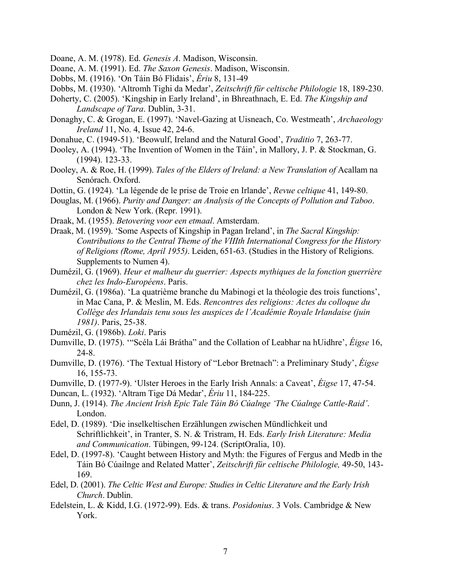- Doane, A. M. (1978). Ed. *Genesis A*. Madison, Wisconsin.
- Doane, A. M. (1991). Ed. *The Saxon Genesis*. Madison, Wisconsin.
- Dobbs, M. (1916). 'On Táin Bó Flidais', *Ériu* 8, 131-49
- Dobbs, M. (1930). 'Altromh Tighi da Medar', *Zeitschrift für celtische Philologie* 18, 189-230.
- Doherty, C. (2005). 'Kingship in Early Ireland', in Bhreathnach, E. Ed. *The Kingship and Landscape of Tara*. Dublin, 3-31.
- Donaghy, C. & Grogan, E. (1997). 'Navel-Gazing at Uisneach, Co. Westmeath', *Archaeology Ireland* 11, No. 4, Issue 42, 24-6.
- Donahue, C. (1949-51). 'Beowulf, Ireland and the Natural Good', *Traditio* 7, 263-77.
- Dooley, A. (1994). 'The Invention of Women in the Táin', in Mallory, J. P. & Stockman, G. (1994). 123-33.
- Dooley, A. & Roe, H. (1999). *Tales of the Elders of Ireland: a New Translation of* Acallam na Senórach. Oxford.
- Dottin, G. (1924). 'La légende de le prise de Troie en Irlande', *Revue celtique* 41, 149-80.
- Douglas, M. (1966). *Purity and Danger: an Analysis of the Concepts of Pollution and Taboo*. London & New York. (Repr. 1991).
- Draak, M. (1955). *Betovering voor een etmaal*. Amsterdam.
- Draak, M. (1959). 'Some Aspects of Kingship in Pagan Ireland', in *The Sacral Kingship: Contributions to the Central Theme of the VIIIth International Congress for the History of Religions (Rome, April 1955)*. Leiden, 651-63. (Studies in the History of Religions. Supplements to Numen 4).
- Dumézil, G. (1969). *Heur et malheur du guerrier: Aspects mythiques de la fonction guerrière chez les Indo-Européens*. Paris.
- Dumézil, G. (1986a). 'La quatrième branche du Mabinogi et la théologie des trois functions', in Mac Cana, P. & Meslin, M. Eds. *Rencontres des religions: Actes du colloque du Collège des Irlandais tenu sous les auspices de l'Académie Royale Irlandaise (juin 1981)*. Paris, 25-38.
- Dumézil, G. (1986b). *Loki*. Paris
- Dumville, D. (1975). '"Scéla Lái Brátha" and the Collation of Leabhar na hUidhre', *Éigse* 16, 24-8.
- Dumville, D. (1976). 'The Textual History of "Lebor Bretnach": a Preliminary Study', *Éigse*  16, 155-73.
- Dumville, D. (1977-9). 'Ulster Heroes in the Early Irish Annals: a Caveat', *Éigse* 17, 47-54.
- Duncan, L. (1932). 'Altram Tige Dá Medar', *Ériu* 11, 184-225.
- Dunn, J. (1914). *The Ancient Irish Epic Tale Táin Bó Cúalnge 'The Cúalnge Cattle-Raid'*. London.
- Edel, D. (1989). 'Die inselkeltischen Erzählungen zwischen Mündlichkeit und Schriftlichkeit', in Tranter, S. N. & Tristram, H. Eds. *Early Irish Literature: Media and Communication*. Tübingen, 99-124. (ScriptOralia, 10).
- Edel, D. (1997-8). 'Caught between History and Myth: the Figures of Fergus and Medb in the Táin Bó Cúailnge and Related Matter', *Zeitschrift für celtische Philologie,* 49-50, 143- 169.
- Edel, D. (2001). *The Celtic West and Europe: Studies in Celtic Literature and the Early Irish Church*. Dublin.
- Edelstein, L. & Kidd, I.G. (1972-99). Eds. & trans. *Posidonius*. 3 Vols. Cambridge & New York.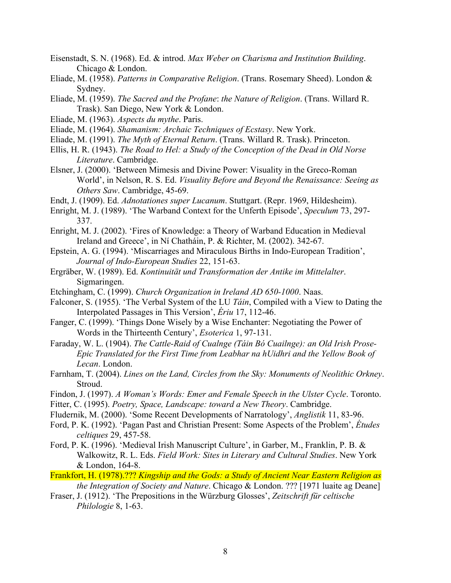- Eisenstadt, S. N. (1968). Ed. & introd. *Max Weber on Charisma and Institution Building*. Chicago & London.
- Eliade, M. (1958). *Patterns in Comparative Religion*. (Trans. Rosemary Sheed). London & Sydney.
- Eliade, M. (1959). *The Sacred and the Profane*: *the Nature of Religion*. (Trans. Willard R. Trask). San Diego, New York & London.
- Eliade, M. (1963). *Aspects du mythe*. Paris.
- Eliade, M. (1964). *Shamanism: Archaic Techniques of Ecstasy*. New York.
- Eliade, M. (1991). *The Myth of Eternal Return*. (Trans. Willard R. Trask). Princeton.
- Ellis, H. R. (1943). *The Road to Hel: a Study of the Conception of the Dead in Old Norse Literature*. Cambridge.
- Elsner, J. (2000). 'Between Mimesis and Divine Power: Visuality in the Greco-Roman World', in Nelson, R. S. Ed. *Visuality Before and Beyond the Renaissance: Seeing as Others Saw*. Cambridge, 45-69.
- Endt, J. (1909). Ed. *Adnotationes super Lucanum*. Stuttgart. (Repr. 1969, Hildesheim).
- Enright, M. J. (1989). 'The Warband Context for the Unferth Episode', *Speculum* 73, 297- 337.
- Enright, M. J. (2002). 'Fires of Knowledge: a Theory of Warband Education in Medieval Ireland and Greece', in Ní Chatháin, P. & Richter, M. (2002). 342-67.
- Epstein, A. G. (1994). 'Miscarriages and Miraculous Births in Indo-European Tradition', *Journal of Indo-European Studies* 22, 151-63.
- Ergräber, W. (1989). Ed. *Kontinuität und Transformation der Antike im Mittelalter*. Sigmaringen.
- Etchingham, C. (1999). *Church Organization in Ireland AD 650-1000*. Naas.
- Falconer, S. (1955). 'The Verbal System of the LU *Táin*, Compiled with a View to Dating the Interpolated Passages in This Version', *Ériu* 17, 112-46.
- Fanger, C. (1999). 'Things Done Wisely by a Wise Enchanter: Negotiating the Power of Words in the Thirteenth Century', *Esoterica* 1, 97-131.
- Faraday, W. L. (1904). *The Cattle-Raid of Cualnge (Táin Bó Cuailnge): an Old Irish Prose-Epic Translated for the First Time from Leabhar na hUidhri and the Yellow Book of Lecan*. London.
- Farnham, T. (2004). *Lines on the Land, Circles from the Sky: Monuments of Neolithic Orkney*. Stroud.
- Findon, J. (1997). *A Woman's Words: Emer and Female Speech in the Ulster Cycle*. Toronto.
- Fitter, C. (1995). *Poetry, Space, Landscape: toward a New Theory*. Cambridge.
- Fludernik, M. (2000). 'Some Recent Developments of Narratology', *Anglistik* 11, 83-96.
- Ford, P. K. (1992). 'Pagan Past and Christian Present: Some Aspects of the Problem', *Études celtiques* 29, 457-58.
- Ford, P. K. (1996). 'Medieval Irish Manuscript Culture', in Garber, M., Franklin, P. B. & Walkowitz, R. L. Eds. *Field Work: Sites in Literary and Cultural Studies*. New York & London, 164-8.
- Frankfort, H. (1978).??? *Kingship and the Gods: a Study of Ancient Near Eastern Religion as the Integration of Society and Nature*. Chicago & London. ??? [1971 luaite ag Deane]
- Fraser, J. (1912). 'The Prepositions in the Würzburg Glosses', *Zeitschrift für celtische Philologie* 8, 1-63.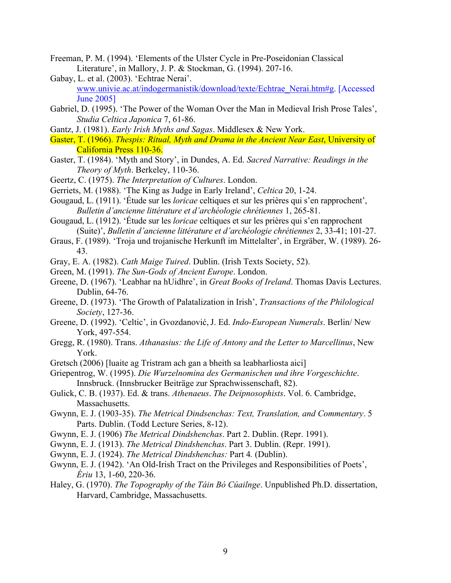- Freeman, P. M. (1994). 'Elements of the Ulster Cycle in Pre-Poseidonian Classical Literature', in Mallory, J. P. & Stockman, G. (1994). 207-16.
- Gabay, L. et al. (2003). 'Echtrae Nerai'. [www.univie.ac.at/indogermanistik/download/texte/Echtrae\\_Nerai.htm#g](http://www.univie.ac.at/indogermanistik/download/texte/Echtrae_Nerai.htm#g). [Accessed June 2005]
- Gabriel, D. (1995). 'The Power of the Woman Over the Man in Medieval Irish Prose Tales', *Studia Celtica Japonica* 7, 61-86.
- Gantz, J. (1981). *Early Irish Myths and Sagas*. Middlesex & New York.
- Gaster, T. (1966). *Thespis: Ritual, Myth and Drama in the Ancient Near East*, University of California Press 110-36.
- Gaster, T. (1984). 'Myth and Story', in Dundes, A. Ed. *Sacred Narrative: Readings in the Theory of Myth*. Berkeley, 110-36.
- Geertz, C. (1975). *The Interpretation of Cultures*. London.
- Gerriets, M. (1988). 'The King as Judge in Early Ireland', *Celtica* 20, 1-24.
- Gougaud, L. (1911). 'Étude sur les *loricae* celtiques et sur les prières qui s'en rapprochent', *Bulletin d'ancienne littérature et d'archéologie chrétiennes* 1, 265-81.
- Gougaud, L. (1912). 'Étude sur les *loricae* celtiques et sur les prières qui s'en rapprochent (Suite)', *Bulletin d'ancienne littérature et d'archéologie chrétiennes* 2, 33-41; 101-27.
- Graus, F. (1989). 'Troja und trojanische Herkunft im Mittelalter', in Ergräber, W. (1989). 26- 43.
- Gray, E. A. (1982). *Cath Maige Tuired*. Dublin. (Irish Texts Society, 52).
- Green, M. (1991). *The Sun-Gods of Ancient Europe*. London.
- Greene, D. (1967). 'Leabhar na hUidhre', in *Great Books of Ireland*. Thomas Davis Lectures. Dublin, 64-76.
- Greene, D. (1973). 'The Growth of Palatalization in Irish', *Transactions of the Philological Society*, 127-36.
- Greene, D. (1992). 'Celtic', in Gvozdanović, J. Ed. *Indo-European Numerals*. Berlin/ New York, 497-554.
- Gregg, R. (1980). Trans. *Athanasius: the Life of Antony and the Letter to Marcellinus*, New York.
- Gretsch (2006) [luaite ag Tristram ach gan a bheith sa leabharliosta aici]
- Griepentrog, W. (1995). *Die Wurzelnomina des Germanischen und ihre Vorgeschichte*. Innsbruck. (Innsbrucker Beiträge zur Sprachwissenschaft, 82).
- Gulick, C. B. (1937). Ed. & trans. *Athenaeus*. *The Deipnosophists*. Vol. 6. Cambridge, Massachusetts.
- Gwynn, E. J. (1903-35). *The Metrical Dindsenchas: Text, Translation, and Commentary*. 5 Parts. Dublin. (Todd Lecture Series, 8-12).
- Gwynn, E. J. (1906) *The Metrical Dindshenchas*. Part 2. Dublin. (Repr. 1991).
- Gwynn, E. J. (1913). *The Metrical Dindshenchas*. Part 3. Dublin. (Repr. 1991).
- Gwynn, E. J. (1924). *The Metrical Dindshenchas:* Part 4*.* (Dublin).
- Gwynn, E. J. (1942). 'An Old-Irish Tract on the Privileges and Responsibilities of Poets', *Ériu* 13, 1-60, 220-36.
- Haley, G. (1970). *The Topography of the Táin Bó Cúailnge*. Unpublished Ph.D. dissertation, Harvard, Cambridge, Massachusetts.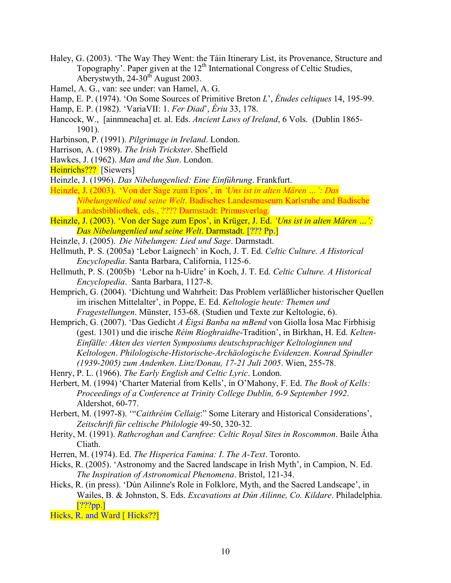- Haley, G. (2003). 'The Way They Went: the Táin Itinerary List, its Provenance, Structure and Topography'. Paper given at the  $12<sup>th</sup>$  International Congress of Celtic Studies, Aberystwyth,  $24-30^{th}$  August 2003.
- Hamel, A. G., van: see under: van Hamel, A. G.
- Hamp, E. P. (1974). 'On Some Sources of Primitive Breton *L*', *Études celtiques* 14, 195-99.
- Hamp, E. P. (1982). 'VariaVII: 1. *Fer Diad*', *Ériu* 33, 178.
- Hancock, W., [ainmneacha] et. al. Eds. *Ancient Laws of Ireland*, 6 Vols. (Dublin 1865- 1901).
- Harbinson, P. (1991). *Pilgrimage in Ireland*. London.
- Harrison, A. (1989). *The Irish Trickster*. Sheffield
- Hawkes, J. (1962). *Man and the Sun*. London.
- Heinrichs??? [Siewers]
- Heinzle, J. (1996). *Das Nibelungenlied: Eine Einführung*. Frankfurt.
- Heinzle, J. (2003). 'Von der Sage zum Epos', in *'Uns ist in alten Mären …': Das Nibelungenlied und seine Welt*. Badisches Landesmuseum Karlsruhe and Badische Landesbibliothek, eds., ???? Darmstadt: Primusverlag.
- Heinzle, J. (2003). 'Von der Sage zum Epos', in Krüger, J. Ed. *'Uns ist in alten Mären …': Das Nibelungenlied und seine Welt*. Darmstadt. [??? Pp.]
- Heinzle, J. (2005). *Die Nibelungen: Lied und Sage*. Darmstadt.
- Hellmuth, P. S. (2005a) 'Lebor Laignech' in Koch, J. T. Ed. *Celtic Culture. A Historical Encyclopedia*. Santa Barbara, California, 1125-6.
- Hellmuth, P. S. (2005b) 'Lebor na h-Uidre' in Koch, J. T. Ed. *Celtic Culture. A Historical Encyclopedia*. Santa Barbara, 1127-8.
- Hemprich, G. (2004). 'Dichtung und Wahrheit: Das Problem verläßlicher historischer Quellen im irischen Mittelalter', in Poppe, E. Ed. *Keltologie heute: Themen und Fragestellungen*. Münster, 153-68. (Studien und Texte zur Keltologie, 6).
- Hemprich, G. (2007). 'Das Gedicht *A Éigsi Banba na mBend* von Giolla Íosa Mac Firbhisig (gest. 1301) und die irische *Réim Ríoghraidhe*-Tradition', in Birkhan, H. Ed. *Kelten-Einfälle: Akten des vierten Symposiums deutschsprachiger Keltologinnen und Keltologen*. *Philologische-Historische-Archäologische Evidenzen*. *Konrad Spindler (1939-2005) zum Andenken*. *Linz/Donau, 17-21 Juli 2005*. Wien, 255-78.
- Henry, P. L. (1966). *The Early English and Celtic Lyric*. London.
- Herbert, M. (1994) 'Charter Material from Kells', in O'Mahony, F. Ed. *The Book of Kells: Proceedings of a Conference at Trinity College Dublin, 6-9 September 1992*. Aldershot, 60-77.
- Herbert, M. (1997-8). '"*Caithréim Cellaig*:" Some Literary and Historical Considerations', *Zeitschrift für celtische Philologie* 49-50, 320-32.
- Herity, M. (1991). *Rathcroghan and Carnfree: Celtic Royal Sites in Roscommon*. Baile Átha Cliath.
- Herren, M. (1974). Ed. *The Hisperica Famina: I*. *The A-Text*. Toronto.
- Hicks, R. (2005). 'Astronomy and the Sacred landscape in Irish Myth', in Campion, N. Ed. *The Inspiration of Astronomical Phenomena*. Bristol, 121-34.
- Hicks, R. (in press). 'Dún Ailinne's Role in Folklore, Myth, and the Sacred Landscape', in Wailes, B. & Johnston, S. Eds. *Excavations at Dún Ailinne, Co. Kildare*. Philadelphia. [???pp.]

Hicks, R. and Ward [Hicks??]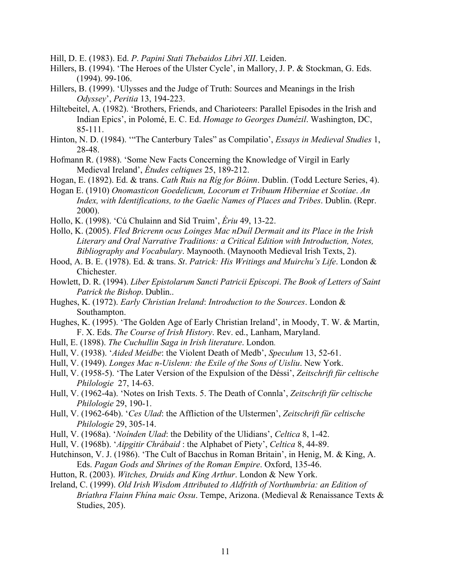Hill, D. E. (1983). Ed. *P*. *Papini Stati Thebaidos Libri XII*. Leiden.

- Hillers, B. (1994). 'The Heroes of the Ulster Cycle', in Mallory, J. P. & Stockman, G. Eds. (1994). 99-106.
- Hillers, B. (1999). 'Ulysses and the Judge of Truth: Sources and Meanings in the Irish *Odyssey*', *Peritia* 13, 194-223.
- Hiltebeitel, A. (1982). 'Brothers, Friends, and Charioteers: Parallel Episodes in the Irish and Indian Epics', in Polomé, E. C. Ed. *Homage to Georges Dumézil*. Washington, DC, 85-111.
- Hinton, N. D. (1984). '"The Canterbury Tales" as Compilatio', *Essays in Medieval Studies* 1, 28-48.
- Hofmann R. (1988). 'Some New Facts Concerning the Knowledge of Virgil in Early Medieval Ireland', *Études celtiques* 25, 189-212.
- Hogan, E. (1892). Ed. & trans. *Cath Ruis na Ríg for Bóinn*. Dublin. (Todd Lecture Series, 4).
- Hogan E. (1910) *Onomasticon Goedelicum, Locorum et Tribuum Hiberniae et Scotiae*. *An Index, with Identifications, to the Gaelic Names of Places and Tribes*. Dublin. (Repr. 2000).
- Hollo, K. (1998). 'Cú Chulainn and Síd Truim', *Ériu* 49, 13-22.
- Hollo, K. (2005). *Fled Bricrenn ocus Loinges Mac nDuíl Dermait and its Place in the Irish Literary and Oral Narrative Traditions: a Critical Edition with Introduction, Notes, Bibliography and Vocabulary*. Maynooth. (Maynooth Medieval Irish Texts, 2).
- Hood, A. B. E. (1978). Ed. & trans. *St*. *Patrick: His Writings and Muirchu's Life*. London & Chichester.
- Howlett, D. R. (1994). *Liber Epistolarum Sancti Patricii Episcopi*. *The Book of Letters of Saint Patrick the Bishop*. Dublin..
- Hughes, K. (1972). *Early Christian Ireland*: *Introduction to the Sources*. London & Southampton.
- Hughes, K. (1995). 'The Golden Age of Early Christian Ireland', in Moody, T. W. & Martin, F. X. Eds. *The Course of Irish History*. Rev. ed., Lanham, Maryland.
- Hull, E. (1898). *The Cuchullin Saga in Irish literature*. London.
- Hull, V. (1938). '*Aided Meidbe*: the Violent Death of Medb', *Speculum* 13, 52-61.
- Hull, V. (1949). *Longes Mac n-Uislenn: the Exile of the Sons of Uisliu*. New York.
- Hull, V. (1958-5). 'The Later Version of the Expulsion of the Déssi', *Zeitschrift für celtische Philologie* 27, 14-63.
- Hull, V. (1962-4a). 'Notes on Irish Texts. 5. The Death of Connla', *Zeitschrift für celtische Philologie* 29, 190-1.
- Hull, V. (1962-64b). '*Ces Ulad*: the Affliction of the Ulstermen', *Zeitschrift für celtische Philologie* 29, 305-14.
- Hull, V. (1968a). '*Noínden Ulad*: the Debility of the Ulidians', *Celtica* 8, 1-42.
- Hull, V. (1968b). '*Aipgitir Chrábaid* : the Alphabet of Piety', *Celtica* 8, 44-89.
- Hutchinson, V. J. (1986). 'The Cult of Bacchus in Roman Britain', in Henig, M. & King, A. Eds. *Pagan Gods and Shrines of the Roman Empire*. Oxford, 135-46.
- Hutton, R. (2003). *Witches, Druids and King Arthur*. London & New York.
- Ireland, С. (1999). *Old Irish Wisdom Attributed to Aldfrith of Northumbria: an Edition of Bríathra Flainn Fhína maic Ossu*. Tempe, Arizona. (Medieval & Renaissance Texts & Studies, 205).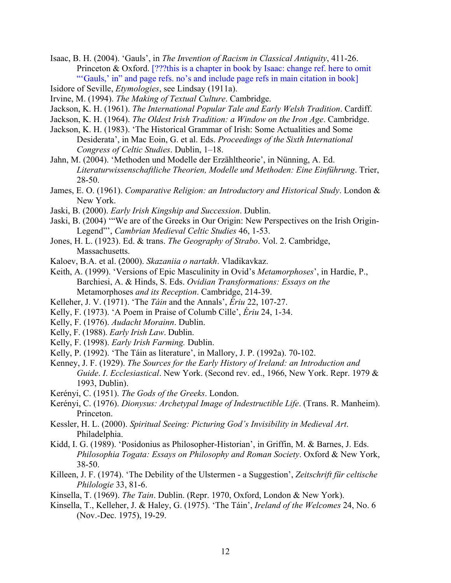Isaac, B. H. (2004). 'Gauls', in *The Invention of Racism in Classical Antiquity*, 411-26. Princeton & Oxford. [???this is a chapter in book by Isaac: change ref. here to omit "'Gauls,' in" and page refs. no's and include page refs in main citation in book]

- Isidore of Seville, *Etymologies*, see Lindsay (1911a).
- Irvine, M. (1994). *The Making of Textual Culture*. Cambridge.
- Jackson, K. H. (1961). *The International Popular Tale and Early Welsh Tradition*. Cardiff.
- Jackson, K. H. (1964). *The Oldest Irish Tradition: a Window on the Iron Age*. Cambridge.
- Jackson, K. H. (1983). 'The Historical Grammar of Irish: Some Actualities and Some Desiderata', in Mac Eoin, G. et al. Eds. *Proceedings of the Sixth International Congress of Celtic Studies*. Dublin, 1–18.
- Jahn, M. (2004). 'Methoden und Modelle der Erzähltheorie', in Nünning, A. Ed. *Literaturwissenschaftliche Theorien, Modelle und Methoden: Eine Einführung*. Trier, 28-50.
- James, E. O. (1961). *Comparative Religion: an Introductory and Historical Study*. London & New York.
- Jaski, B. (2000). *Early Irish Kingship and Succession*. Dublin.
- Jaski, B. (2004) '"We are of the Greeks in Our Origin: New Perspectives on the Irish Origin-Legend"', *Cambrian Medieval Celtic Studies* 46, 1-53.
- Jones, H. L. (1923). Ed. & trans. *The Geography of Strabo*. Vol. 2. Cambridge, Massachusetts.
- Kaloev, B.A. et al. (2000). *Skazaniia o nartakh*. Vladikavkaz.
- Keith, A. (1999). 'Versions of Epic Masculinity in Ovid's *Metamorphoses*', in Hardie, P., Barchiesi, A. & Hinds, S. Eds. *Ovidian Transformations: Essays on the*  Metamorphoses *and its Reception*. Cambridge, 214-39.
- Kelleher, J. V. (1971). 'The *Táin* and the Annals', *Ériu* 22, 107-27.
- Kelly, F. (1973). 'A Poem in Praise of Columb Cille', *Ériu* 24, 1-34.
- Kelly, F. (1976). *Audacht Morainn*. Dublin.
- Kelly, F. (1988). *Early Irish Law*. Dublin.
- Kelly, F. (1998). *Early Irish Farming.* Dublin.
- Kelly, P. (1992). 'The Táin as literature', in Mallory, J. P. (1992a). 70-102.
- Kenney, J. F. (1929). *The Sources for the Early History of Ireland: an Introduction and Guide*. *I*. *Ecclesiastical*. New York. (Second rev. ed., 1966, New York. Repr. 1979 & 1993, Dublin).
- Kerényi, C. (1951). *The Gods of the Greeks*. London.
- Kerényi, C. (1976). *Dionysus: Archetypal Image of Indestructible Life*. (Trans. R. Manheim). Princeton.
- Kessler, H. L. (2000). *Spiritual Seeing: Picturing God's Invisibility in Medieval Art*. Philadelphia.
- Kidd, I. G. (1989). 'Posidonius as Philosopher-Historian', in Griffin, M. & Barnes, J. Eds. *Philosophia Togata: Essays on Philosophy and Roman Society*. Oxford & New York, 38-50.
- Killeen, J. F. (1974). 'The Debility of the Ulstermen a Suggestion', *Zeitschrift für celtische Philologie* 33, 81-6.
- Kinsella, T. (1969). *The Tain*. Dublin. (Repr. 1970, Oxford, London & New York).
- Kinsella, T., Kelleher, J. & Haley, G. (1975). 'The Táin', *Ireland of the Welcomes* 24, No. 6 (Nov.-Dec. 1975), 19-29.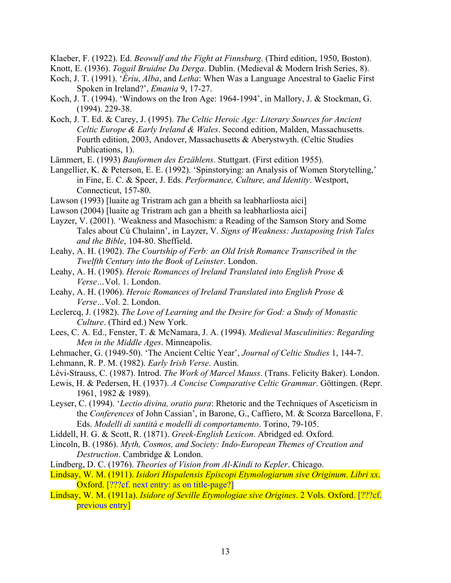Klaeber, F. (1922). Ed. *Beowulf and the Fight at Finnsburg*. (Third edition, 1950, Boston).

Knott, E. (1936). *Togail Bruidne Da Derga*. Dublin. (Medieval & Modern Irish Series, 8).

- Koch, J. T. (1991). '*Ériu*, *Alba*, and *Letha*: When Was a Language Ancestral to Gaelic First Spoken in Ireland?', *Emania* 9, 17-27.
- Koch, J. T. (1994). 'Windows on the Iron Age: 1964-1994', in Mallory, J. & Stockman, G. (1994). 229-38.
- Koch, J. T. Ed. & Carey, J. (1995). *The Celtic Heroic Age: Literary Sources for Ancient Celtic Europe & Early Ireland & Wales*. Second edition, Malden, Massachusetts. Fourth edition, 2003, Andover, Massachusetts & Aberystwyth. (Celtic Studies Publications, 1).
- Lämmert, E. (1993) *Bauformen des Erzählens*. Stuttgart. (First edition 1955).
- Langellier, K. & Peterson, E. E. (1992). 'Spinstorying: an Analysis of Women Storytelling,' in Fine, E. C. & Speer, J. Eds. *Performance, Culture, and Identity*. Westport, Connecticut, 157-80.
- Lawson (1993) [luaite ag Tristram ach gan a bheith sa leabharliosta aici]
- Lawson (2004) [luaite ag Tristram ach gan a bheith sa leabharliosta aici]
- Layzer, V. (2001). 'Weakness and Masochism: a Reading of the Samson Story and Some Tales about Cú Chulainn', in Layzer, V. *Signs of Weakness: Juxtaposing Irish Tales and the Bible*, 104-80. Sheffield.
- Leahy, A. H. (1902). *The Courtship of Ferb: an Old Irish Romance Transcribed in the Twelfth Century into the Book of Leinster*. London.
- Leahy, A. H. (1905). *Heroic Romances of Ireland Translated into English Prose & Verse…*Vol. 1. London.
- Leahy, A. H. (1906). *Heroic Romances of Ireland Translated into English Prose & Verse…*Vol. 2. London.
- Leclercq, J. (1982). *The Love of Learning and the Desire for God: a Study of Monastic Culture*. (Third ed.) New York.
- Lees, C. A. Ed., Fenster, T. & McNamara, J. A. (1994). *Medieval Masculinities: Regarding Men in the Middle Ages*. Minneapolis.
- Lehmacher, G. (1949-50). 'The Ancient Celtic Year', *Journal of Celtic Studies* 1, 144-7.
- Lehmann, R. P. M. (1982). *Early Irish Verse*. Austin.
- Lévi-Strauss, C. (1987). Introd. *The Work of Marcel Mauss*. (Trans. Felicity Baker). London.
- Lewis, H. & Pedersen, H. (1937). *A Concise Comparative Celtic Grammar*. Göttingen. (Repr. 1961, 1982 & 1989).
- Leyser, C. (1994). '*Lectio divina, oratio pura*: Rhetoric and the Techniques of Asceticism in the *Conferences* of John Cassian', in Barone, G., Caffiero, M. & Scorza Barcellona, F. Eds. *Modelli di santità e modelli di comportamento*. Torino, 79-105.
- Liddell, H. G. & Scott, R. (1871). *Greek-English Lexicon*. Abridged ed. Oxford.
- Lincoln, B. (1986). *Myth, Cosmos, and Society: Indo-European Themes of Creation and Destruction*. Cambridge & London.
- Lindberg, D. C. (1976). *Theories of Vision from Al-Kindi to Kepler*. Chicago.
- Lindsay, W. M. (1911). *Isidori Hispalensis Episcopi Etymologiarum sive Originum*. *Libri xx*. Oxford. [???cf. next entry: as on title-page?]
- Lindsay, W. M. (1911a). *Isidore of Seville Etymologiae sive Origines*. 2 Vols. Oxford. [???cf. previous entry]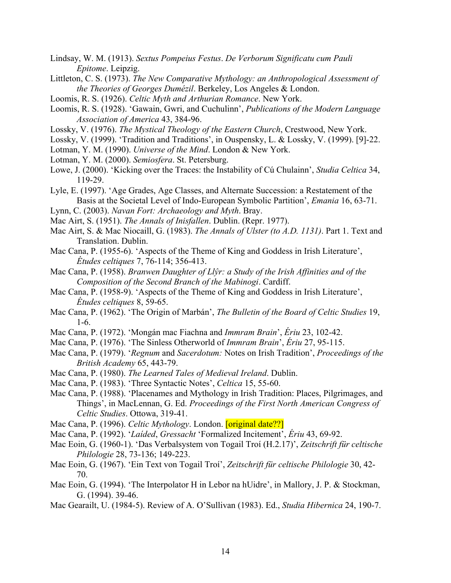- Lindsay, W. M. (1913). *Sextus Pompeius Festus*. *De Verborum Significatu cum Pauli Epitome*. Leipzig.
- Littleton, C. S. (1973). *The New Comparative Mythology: an Anthropological Assessment of the Theories of Georges Dumézil*. Berkeley, Los Angeles & London.
- Loomis, R. S. (1926). *Celtic Myth and Arthurian Romance*. New York.
- Loomis, R. S. (1928). 'Gawain, Gwri, and Cuchulinn', *Publications of the Modern Language Association of America* 43, 384-96.
- Lossky, V. (1976). *The Mystical Theology of the Eastern Church*, Crestwood, New York.
- Lossky, V. (1999). 'Tradition and Traditions', in Ouspensky, L. & Lossky, V. (1999). [9]-22.
- Lotman, Y. M. (1990). *Universe of the Mind*. London & New York.
- Lotman, Y. M. (2000). *Semiosfera*. St. Petersburg.
- Lowe, J. (2000). 'Kicking over the Traces: the Instability of Cú Chulainn', *Studia Celtica* 34, 119-29.
- Lyle, E. (1997). 'Age Grades, Age Classes, and Alternate Succession: a Restatement of the Basis at the Societal Level of Indo-European Symbolic Partition', *Emania* 16, 63-71.
- Lynn, C. (2003). *Navan Fort: Archaeology and Myth*. Bray.
- Mac Airt, S. (1951). *The Annals of Inisfallen*. Dublin. (Repr. 1977).
- Mac Airt, S. & Mac Niocaill, G. (1983). *The Annals of Ulster (to A.D. 1131)*. Part 1. Text and Translation. Dublin.
- Mac Cana, P. (1955-6). 'Aspects of the Theme of King and Goddess in Irish Literature', *Études celtiques* 7, 76-114; 356-413.
- Mac Cana, P. (1958). *Branwen Daughter of Llŷr: a Study of the Irish Affinities and of the Composition of the Second Branch of the Mabinogi*. Cardiff.
- Mac Cana, P. (1958-9). 'Aspects of the Theme of King and Goddess in Irish Literature', *Études celtiques* 8, 59-65.
- Mac Cana, P. (1962). 'The Origin of Marbán', *The Bulletin of the Board of Celtic Studies* 19, 1-6.
- Mac Cana, P. (1972). 'Mongán mac Fiachna and *Immram Brain*', *Ériu* 23, 102-42.
- Mac Cana, P. (1976). 'The Sinless Otherworld of *Immram Brain*', *Ériu* 27, 95-115.
- Mac Cana, P. (1979). '*Regnum* and *Sacerdotum:* Notes on Irish Tradition', *Proceedings of the British Academy* 65, 443-79.
- Mac Cana, P. (1980). *The Learned Tales of Medieval Ireland*. Dublin.
- Mac Cana, P. (1983). 'Three Syntactic Notes', *Celtica* 15, 55-60.
- Mac Cana, P. (1988). 'Placenames and Mythology in Irish Tradition: Places, Pilgrimages, and Things', in MacLennan, G. Ed. *Proceedings of the First North American Congress of Celtic Studies*. Ottowa, 319-41.
- Mac Cana, P. (1996). *Celtic Mythology*. London. **[original date??]**
- Mac Cana, P. (1992). '*Laíded*, *Gressacht* 'Formalized Incitement', *Ériu* 43, 69-92.
- Mac Eoin, G. (1960-1). 'Das Verbalsystem von Togail Troí (H.2.17)', *Zeitschrift für celtische Philologie* 28, 73-136; 149-223.
- Mac Eoin, G. (1967). 'Ein Text von Togail Troí', *Zeitschrift für celtische Philologie* 30, 42- 70.
- Mac Eoin, G. (1994). 'The Interpolator H in Lebor na hUidre', in Mallory, J. P. & Stockman, G. (1994). 39-46.
- Mac Gearailt, U. (1984-5). Review of A. O'Sullivan (1983). Ed., *Studia Hibernica* 24, 190-7.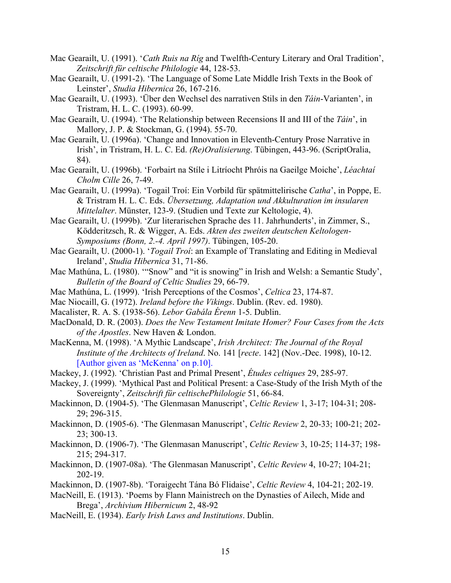- Mac Gearailt, U. (1991). '*Cath Ruis na Ríg* and Twelfth-Century Literary and Oral Tradition', *Zeitschrift für celtische Philologie* 44, 128-53.
- Mac Gearailt, U. (1991-2). 'The Language of Some Late Middle Irish Texts in the Book of Leinster', *Studia Hibernica* 26, 167-216.
- Mac Gearailt, U. (1993). 'Über den Wechsel des narrativen Stils in den *Táin*-Varianten', in Tristram, H. L. C. (1993). 60-99.
- Mac Gearailt, U. (1994). 'The Relationship between Recensions II and III of the *Táin*', in Mallory, J. P. & Stockman, G. (1994). 55-70.
- Mac Gearailt, U. (1996a). 'Change and Innovation in Eleventh-Century Prose Narrative in Irish', in Tristram, H. L. C. Ed. *(Re)Oralisierung*. Tübingen, 443-96. (ScriptOralia, 84).
- Mac Gearailt, U. (1996b). 'Forbairt na Stíle i Litríocht Phróis na Gaeilge Moiche', *Léachtaí Cholm Cille* 26, 7-49.
- Mac Gearailt, U. (1999a). 'Togail Troí: Ein Vorbild für spätmittelirische *Catha*', in Poppe, E. & Tristram H. L. C. Eds. *Übersetzung, Adaptation und Akkulturation im insularen Mittelalter*. Münster, 123-9. (Studien und Texte zur Keltologie, 4).
- Mac Gearailt, U. (1999b). 'Zur literarischen Sprache des 11. Jahrhunderts', in Zimmer, S., Ködderitzsch, R. & Wigger, A. Eds. *Akten des zweiten deutschen Keltologen-Symposiums (Bonn, 2.-4. April 1997)*. Tübingen, 105-20.
- Mac Gearailt, U. (2000-1). '*Togail Troí*: an Example of Translating and Editing in Medieval Ireland', *Studia Hibernica* 31, 71-86.
- Mac Mathúna, L. (1980). '"Snow" and "it is snowing" in Irish and Welsh: a Semantic Study', *Bulletin of the Board of Celtic Studies* 29, 66-79.
- Mac Mathúna, L. (1999). 'Irish Perceptions of the Cosmos', *Celtica* 23, 174-87.
- Mac Niocaill, G. (1972). *Ireland before the Vikings*. Dublin. (Rev. ed. 1980).
- Macalister, R. A. S. (1938-56). *Lebor Gabála Érenn* 1-5. Dublin.
- MacDonald, D. R. (2003). *Does the New Testament Imitate Homer? Four Cases from the Acts of the Apostles*. New Haven & London.
- MacKenna, M. (1998). 'A Mythic Landscape', *Irish Architect: The Journal of the Royal Institute of the Architects of Ireland*. No. 141 [*recte*. 142] (Nov.-Dec. 1998), 10-12. [Author given as 'McKenna' on p.10].
- Mackey, J. (1992). 'Christian Past and Primal Present', *Études celtiques* 29, 285-97.
- Mackey, J. (1999). 'Mythical Past and Political Present: a Case-Study of the Irish Myth of the Sovereignty', *Zeitschrift für celtischePhilologie* 51, 66-84.
- Mackinnon, D. (1904-5). 'The Glenmasan Manuscript', *Celtic Review* 1, 3-17; 104-31; 208- 29; 296-315.
- Mackinnon, D. (1905-6). 'The Glenmasan Manuscript', *Celtic Review* 2, 20-33; 100-21; 202- 23; 300-13.
- Mackinnon, D. (1906-7). 'The Glenmasan Manuscript', *Celtic Review* 3, 10-25; 114-37; 198- 215; 294-317.
- Mackinnon, D. (1907-08a). 'The Glenmasan Manuscript', *Celtic Review* 4, 10-27; 104-21; 202-19.
- Mackinnon, D. (1907-8b). 'Toraigecht Tána Bó Flidaise', *Celtic Review* 4, 104-21; 202-19.
- MacNeill, E. (1913). 'Poems by Flann Mainistrech on the Dynasties of Ailech, Mide and Brega', *Archivium Hibernicum* 2, 48-92
- MacNeill, E. (1934). *Early Irish Laws and Institutions*. Dublin.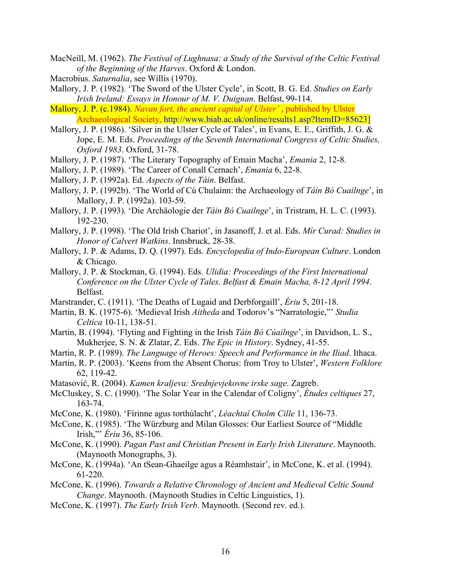- MacNeill, M. (1962). *The Festival of Lughnasa: a Study of the Survival of the Celtic Festival of the Beginning of the Harves*. Oxford & London.
- Macrobius. *Saturnalia*, see Willis (1970).
- Mallory, J. P. (1982). 'The Sword of the Ulster Cycle', in Scott, B. G. Ed. *Studies on Early Irish Ireland: Essays in Honour of M. V. Duignan*. Belfast, 99-114.
- Mallory, J. P. (c.1984). *Navan fort, the ancient capital of Ulster'* , published by Ulster Archaeological Society, http://www.biab.ac.uk/online/results1.asp?ItemID=85623]
- Mallory, J. P. (1986). 'Silver in the Ulster Cycle of Tales', in Evans, E. E., Griffith, J. G. & Jope, E. M. Eds. *Proceedings of the Seventh International Congress of Celtic Studies, Oxford 1983*. Oxford, 31-78.
- Mallory, J. P. (1987). 'The Literary Topography of Emain Macha', *Emania* 2, 12-8.
- Mallory, J. P. (1989). 'The Career of Conall Cernach', *Emania* 6, 22-8.
- Mallory, J. P. (1992a). Ed. *Aspects of the Táin*. Belfast.
- Mallory, J. P. (1992b). 'The World of Cú Chulainn: the Archaeology of *Táin Bó Cuailnge*', in Mallory, J. P. (1992a). 103-59.
- Mallory, J. P. (1993). 'Die Archäologie der *Táin Bó Cuailnge*', in Tristram, H. L. C. (1993). 192-230.
- Mallory, J. P. (1998). 'The Old Irish Chariot', in Jasanoff, J. et al. Eds. *Mír Curad: Studies in Honor of Calvert Watkins*. Innsbruck, 28-38.
- Mallory, J. P. & Adams, D. Q. (1997). Eds. *Encyclopedia of Indo-European Culture*. London & Chicago.
- Mallory, J. P. & Stockman, G. (1994). Eds. *Ulidia: Proceedings of the First International Conference on the Ulster Cycle of Tales*. *Belfast & Emain Macha, 8-12 April 1994*. Belfast.
- Marstrander, C. (1911). 'The Deaths of Lugaid and Derbforgaill', *Ériu* 5, 201-18.
- Martin, B. K. (1975-6). 'Medieval Irish *Aitheda* and Todorov's "Narratologie,"' *Studia Celtica* 10-11, 138-51.
- Martin, B. (1994). 'Flyting and Fighting in the Irish *Táin Bó Cúailnge*', in Davidson, L. S., Mukherjee, S. N. & Zlatar, Z. Eds. *The Epic in History*. Sydney, 41-55.
- Martin, R. P. (1989). *The Language of Heroes: Speech and Performance in the Iliad*. Ithaca.
- Martin, R. P. (2003). 'Keens from the Absent Chorus: from Troy to Ulster', *Western Folklore* 62, 119-42.
- Matasović, R. (2004). *Kamen kraljeva: Srednjevjekovne irske sage*. Zagreb.
- McCluskey, S. C. (1990). 'The Solar Year in the Calendar of Coligny', *Études celtiques* 27, 163-74.
- McCone, K. (1980). 'Fírinne agus torthúlacht', *Léachtaí Cholm Cille* 11, 136-73.
- McCone, K. (1985). 'The Würzburg and Milan Glosses: Our Earliest Source of "Middle Irish,"' *Ériu* 36, 85-106.
- McCone, K. (1990). *Pagan Past and Christian Present in Early Irish Literature*. Maynooth. (Maynooth Monographs, 3).
- McCone, K. (1994a). 'An tSean-Ghaeilge agus a Réamhstair', in McCone, K. et al. (1994). 61-220.
- McCone, K. (1996). *Towards a Relative Chronology of Ancient and Medieval Celtic Sound Change*. Maynooth. (Maynooth Studies in Celtic Linguistics, 1).
- McCone, K. (1997). *The Early Irish Verb*. Maynooth. (Second rev. ed.).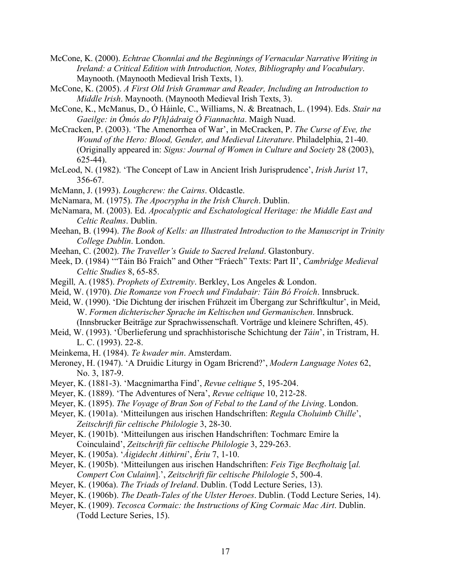- McCone, K. (2000). *Echtrae Chonnlai and the Beginnings of Vernacular Narrative Writing in Ireland: a Critical Edition with Introduction, Notes, Bibliography and Vocabulary*. Maynooth. (Maynooth Medieval Irish Texts, 1).
- McCone, K. (2005). *A First Old Irish Grammar and Reader, Including an Introduction to Middle Irish*. Maynooth. (Maynooth Medieval Irish Texts, 3).
- McCone, K., McManus, D., Ó Háinle, C., Williams, N. & Breatnach, L. (1994). Eds. *Stair na Gaeilge: in Ómós do P[h]ádraig Ó Fiannachta*. Maigh Nuad.
- McCracken, P. (2003). 'The Amenorrhea of War', in McCracken, P. *The Curse of Eve, the Wound of the Hero: Blood, Gender, and Medieval Literature*. Philadelphia, 21-40. (Originally appeared in: *Signs: Journal of Women in Culture and Society* 28 (2003), 625-44).
- McLeod, N. (1982). 'The Concept of Law in Ancient Irish Jurisprudence', *Irish Jurist* 17, 356-67.
- McMann, J. (1993). *Loughcrew: the Cairns*. Oldcastle.
- McNamara, M. (1975). *The Apocrypha in the Irish Church*. Dublin.
- McNamara, M. (2003). Ed. *Apocalyptic and Eschatological Heritage: the Middle East and Celtic Realms*. Dublin.
- Meehan, B. (1994). *The Book of Kells: an Illustrated Introduction to the Manuscript in Trinity College Dublin*. London.
- Meehan, C. (2002). *The Traveller's Guide to Sacred Ireland*. Glastonbury.
- Meek, D. (1984) '"Táin Bó Fraích" and Other "Fráech" Texts: Part II', *Cambridge Medieval Celtic Studies* 8, 65-85.
- Megill*,* A. (1985). *Prophets of Extremity*. Berkley, Los Angeles & London.
- Meid, W. (1970). *Die Romanze von Froech und Findabair: Táin Bó Froích*. Innsbruck.
- Meid, W. (1990). 'Die Dichtung der irischen Frühzeit im Übergang zur Schriftkultur', in Meid, W. *Formen dichterischer Sprache im Keltischen und Germanischen*. Innsbruck. (Innsbrucker Beiträge zur Sprachwissenschaft. Vorträge und kleinere Schriften, 45).
- Meid, W. (1993). 'Überlieferung und sprachhistorische Schichtung der *Táin*', in Tristram, H. L. C. (1993). 22-8.
- Meinkema, H. (1984). *Te kwader min*. Amsterdam.
- Meroney, H. (1947). 'A Druidic Liturgy in Ogam Bricrend?', *Modern Language Notes* 62, No. 3, 187-9.
- Meyer, K. (1881-3). 'Macgnimartha Find', *Revue celtique* 5, 195-204.
- Meyer, K. (1889). 'The Adventures of Nera', *Revue celtique* 10, 212-28.
- Meyer, K. (1895). *The Voyage of Bran Son of Febal to the Land of the Living*. London.
- Meyer, K. (1901a). 'Mitteilungen aus irischen Handschriften: *Regula Choluimb Chille*', *Zeitschrift für celtische Philologie* 3, 28-30.
- Meyer, K. (1901b). 'Mitteilungen aus irischen Handschriften: Tochmarc Emire la Coinculaind', *Zeitschrift für celtische Philologie* 3, 229-263.
- Meyer, K. (1905a). '*Áigidecht Aithirni*', *Ériu* 7, 1-10.
- Meyer, K. (1905b). 'Mitteilungen aus irischen Handschriften: *Feis Tige Becfholtaig* [*al. Compert Con Culainn*].', *Zeitschrift für celtische Philologie* 5, 500-4.
- Meyer, K. (1906a). *The Triads of Ireland*. Dublin. (Todd Lecture Series, 13).
- Meyer, K. (1906b). *The Death-Tales of the Ulster Heroes*. Dublin. (Todd Lecture Series, 14).
- Meyer, K. (1909). *Tecosca Cormaic: the Instructions of King Cormaic Mac Airt*. Dublin. (Todd Lecture Series, 15).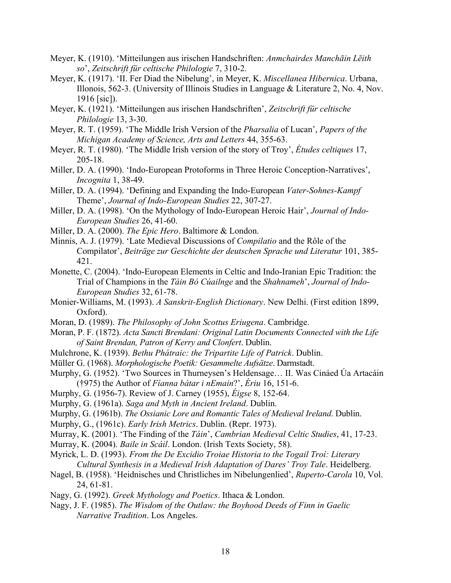- Meyer, K. (1910). 'Mitteilungen aus irischen Handschriften: *Anmchairdes Manchāin Lēith so*', *Zeitschrift für celtische Philologie* 7, 310-2.
- Meyer, K. (1917). 'II. Fer Diad the Nibelung', in Meyer, K. *Miscellanea Hibernica*. Urbana, Illonois, 562-3. (University of Illinois Studies in Language & Literature 2, No. 4, Nov. 1916 [sic]).
- Meyer, K. (1921). 'Mitteilungen aus irischen Handschriften', *Zeitschrift für celtische Philologie* 13, 3-30.
- Meyer, R. T. (1959). 'The Middle Irish Version of the *Pharsalia* of Lucan', *Papers of the Michigan Academy of Science, Arts and Letters* 44, 355-63.
- Meyer, R. T. (1980). 'The Middle Irish version of the story of Troy', *Études celtiques* 17, 205-18.
- Miller, D. A. (1990). 'Indo-European Protoforms in Three Heroic Conception-Narratives', *Incognita* 1, 38-49.
- Miller, D. A. (1994). 'Defining and Expanding the Indo-European *Vater-Sohnes-Kampf* Theme', *Journal of Indo-European Studies* 22, 307-27.
- Miller, D. A. (1998). 'On the Mythology of Indo-European Heroic Hair', *Journal of Indo-European Studies* 26, 41-60.
- Miller, D. A. (2000). *The Epic Hero*. Baltimore & London.
- Minnis, A. J. (1979). 'Late Medieval Discussions of *Compilatio* and the Rôle of the Compilator', *Beiträge zur Geschichte der deutschen Sprache und Literatur* 101, 385- 421.
- Monette, C. (2004). 'Indo-European Elements in Celtic and Indo-Iranian Epic Tradition: the Trial of Champions in the *Táin Bó Cúailnge* and the *Shahnameh*', *Journal of Indo-European Studies* 32, 61-78.
- Monier-Williams, M. (1993). *A Sanskrit-English Dictionary*. New Delhi. (First edition 1899, Oxford).
- Moran, D. (1989). *The Philosophy of John Scottus Eriugena*. Cambridge.
- Moran, P. F. (1872). *Acta Sancti Brendani: Original Latin Documents Connected with the Life of Saint Brendan, Patron of Kerry and Clonfert*. Dublin.
- Mulchrone, K. (1939). *Bethu Phátraic: the Tripartite Life of Patrick*. Dublin.
- Müller G. (1968). *Morphologische Poetik: Gesammelte Aufsätze*. Darmstadt.
- Murphy, G. (1952). 'Two Sources in Thurneysen's Heldensage… II. Was Cináed Úa Artacáin (†975) the Author of *Fíanna bátar i nEmain*?', *Ériu* 16, 151-6.
- Murphy, G. (1956-7). Review of J. Carney (1955), *Éigse* 8, 152-64.
- Murphy, G. (1961a). *Saga and Myth in Ancient Ireland*. Dublin.
- Murphy, G. (1961b). *The Ossianic Lore and Romantic Tales of Medieval Ireland*. Dublin.
- Murphy, G., (1961c). *Early Irish Metrics*. Dublin. (Repr. 1973).
- Murray, K. (2001). 'The Finding of the *Táin*', *Cambrian Medieval Celtic Studies*, 41, 17-23.
- Murray, K. (2004). *Baile in Scáil*. London. (Irish Texts Society, 58).
- Myrick, L. D. (1993). *From the De Excidio Troiae Historia to the Togail Troí: Literary Cultural Synthesis in a Medieval Irish Adaptation of Dares' Troy Tale*. Heidelberg.
- Nagel, B. (1958). 'Heidnisches und Christliches im Nibelungenlied', *Ruperto-Carola* 10, Vol. 24, 61-81.
- Nagy, G. (1992). *Greek Mythology and Poetics*. Ithaca & London.
- Nagy, J. F. (1985). *The Wisdom of the Outlaw: the Boyhood Deeds of Finn in Gaelic Narrative Tradition*. Los Angeles.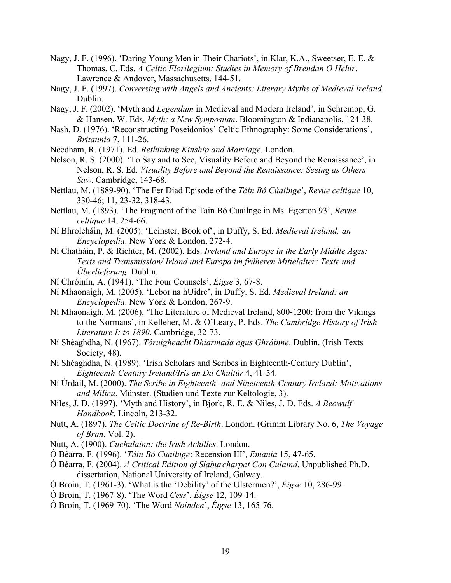- Nagy, J. F. (1996). 'Daring Young Men in Their Chariots', in Klar, K.A., Sweetser, E. E. & Thomas, C. Eds. *A Celtic Florilegium: Studies in Memory of Brendan O Hehir*. Lawrence & Andover, Massachusetts, 144-51.
- Nagy, J. F. (1997). *Conversing with Angels and Ancients: Literary Myths of Medieval Ireland*. Dublin.
- Nagy, J. F. (2002). 'Myth and *Legendum* in Medieval and Modern Ireland', in Schrempp, G. & Hansen, W. Eds. *Myth: a New Symposium*. Bloomington & Indianapolis, 124-38.
- Nash, D. (1976). 'Reconstructing Poseidonios' Celtic Ethnography: Some Considerations', *Britannia* 7, 111-26.
- Needham, R. (1971). Ed. *Rethinking Kinship and Marriage*. London.
- Nelson, R. S. (2000). 'To Say and to See, Visuality Before and Beyond the Renaissance', in Nelson, R. S. Ed. *Visuality Before and Beyond the Renaissance: Seeing as Others Saw*. Cambridge, 143-68.
- Nettlau, M. (1889-90). 'The Fer Diad Episode of the *Táin Bó Cúailnge*', *Revue celtique* 10, 330-46; 11, 23-32, 318-43.
- Nettlau, M. (1893). 'The Fragment of the Tain Bó Cuailnge in Ms. Egerton 93', *Revue celtique* 14, 254-66.
- Ní Bhrolcháin, M. (2005). 'Leinster, Book of', in Duffy, S. Ed. *Medieval Ireland: an Encyclopedia*. New York & London, 272-4.
- Ní Chatháin, P. & Richter, M. (2002). Eds. *Ireland and Europe in the Early Middle Ages: Texts and Transmission/ Irland und Europa im früheren Mittelalter: Texte und Überlieferung*. Dublin.
- Ní Chróinín, A. (1941). 'The Four Counsels', *Éigse* 3, 67-8.
- Ní Mhaonaigh, M. (2005). 'Lebor na hUidre', in Duffy, S. Ed. *Medieval Ireland: an Encyclopedia*. New York & London, 267-9.
- Ní Mhaonaigh, M. (2006). 'The Literature of Medieval Ireland, 800-1200: from the Vikings to the Normans', in Kelleher, M. & O'Leary, P. Eds. *The Cambridge History of Irish Literature I: to 1890*. Cambridge, 32-73.
- Ní Shéaghdha, N. (1967). *Tóruigheacht Dhiarmada agus Ghráinne*. Dublin. (Irish Texts Society, 48).
- Ní Shéaghdha, N. (1989). 'Irish Scholars and Scribes in Eighteenth-Century Dublin', *Eighteenth-Century Ireland/Iris an Dá Chultúr* 4, 41-54.
- Ní Úrdail, M. (2000). *The Scribe in Eighteenth- and Nineteenth-Century Ireland: Motivations and Milieu*. Münster. (Studien und Texte zur Keltologie, 3).
- Niles, J. D. (1997). 'Myth and History', in Bjork, R. E. & Niles, J. D. Eds. *A Beowulf Handbook*. Lincoln, 213-32.
- Nutt, A. (1897). *The Celtic Doctrine of Re-Birth*. London. (Grimm Library No. 6, *The Voyage of Bran*, Vol. 2).
- Nutt, A. (1900). *Cuchulainn: the Irish Achilles*. London.
- Ó Béarra, F. (1996). '*Táin Bó Cuailnge*: Recension III', *Emania* 15, 47-65.
- Ó Béarra, F. (2004). *A Critical Edition of Síaburcharpat Con Culaind*. Unpublished Ph.D. dissertation, National University of Ireland, Galway.
- Ó Broin, T. (1961-3). 'What is the 'Debility' of the Ulstermen?', *Éigse* 10, 286-99.
- Ó Broin, T. (1967-8). 'The Word *Cess*', *Éigse* 12, 109-14.
- Ó Broin, T. (1969-70). 'The Word *Noínden*', *Éigse* 13, 165-76.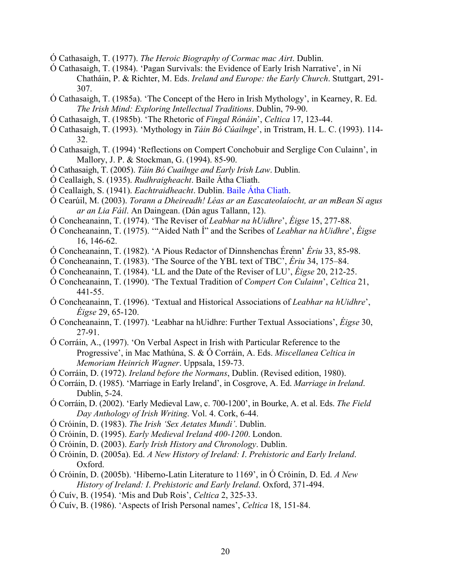- Ó Cathasaigh, T. (1977). *The Heroic Biography of Cormac mac Airt*. Dublin.
- Ó Cathasaigh, T. (1984). 'Pagan Survivals: the Evidence of Early Irish Narrative', in Ní Chatháin, P. & Richter, M. Eds. *Ireland and Europe: the Early Church*. Stuttgart, 291- 307.
- Ó Cathasaigh, T. (1985a). 'The Concept of the Hero in Irish Mythology', in Kearney, R. Ed. *The Irish Mind: Exploring Intellectual Traditions*. Dublin, 79-90.
- Ó Cathasaigh, T. (1985b). 'The Rhetoric of *Fingal Rónáin*', *Celtica* 17, 123-44.
- Ó Cathasaigh, T. (1993). 'Mythology in *Táin Bó Cúailnge*', in Tristram, H. L. C. (1993). 114- 32.
- Ó Cathasaigh, T. (1994) 'Reflections on Compert Conchobuir and Serglige Con Culainn', in Mallory, J. P. & Stockman, G. (1994). 85-90.
- Ó Cathasaigh, T. (2005). *Táin Bó Cuailnge and Early Irish Law*. Dublin.
- Ó Ceallaigh, S. (1935). *Rudhraigheacht*. Baile Átha Cliath.
- Ó Ceallaigh, S. (1941). *Eachtraidheacht*. Dublin. Baile Átha Cliath.
- Ó Cearúil, M. (2003). *Torann a Dheireadh! Léas ar an Eascateolaíocht, ar an mBean Sí agus ar an Lia Fáil*. An Daingean. (Dán agus Tallann, 12).
- Ó Concheanainn, T. (1974). 'The Reviser of *Leabhar na hUidhre*', *Éigse* 15, 277-88.
- Ó Concheanainn, T. (1975). '"Aided Nath Í" and the Scribes of *Leabhar na hUidhre*', *Éigse* 16, 146-62.
- Ó Concheanainn, T. (1982). 'A Pious Redactor of Dinnshenchas Érenn' *Ériu* 33, 85-98.
- Ó Concheanainn, T. (1983). 'The Source of the YBL text of TBC', *Ériu* 34, 175–84.
- Ó Concheanainn, T. (1984). 'LL and the Date of the Reviser of LU', *Éigse* 20, 212-25.
- Ó Concheanainn, T. (1990). 'The Textual Tradition of *Compert Con Culainn*', *Celtica* 21, 441-55.
- Ó Concheanainn, T. (1996). 'Textual and Historical Associations of *Leabhar na hUidhre*', *Éigse* 29, 65-120.
- Ó Concheanainn, T. (1997). 'Leabhar na hUidhre: Further Textual Associations', *Éigse* 30, 27-91.
- Ó Corráin, A., (1997). 'On Verbal Aspect in Irish with Particular Reference to the Progressive', in Mac Mathúna, S. & Ó Corráin, A. Eds. *Miscellanea Celtica in Memoriam Heinrich Wagner*. Uppsala, 159-73.
- Ó Corráin, D. (1972). *Ireland before the Normans*, Dublin. (Revised edition, 1980).
- Ó Corráin, D. (1985). 'Marriage in Early Ireland', in Cosgrove, A. Ed. *Marriage in Ireland*. Dublin, 5-24.
- Ó Corráin, D. (2002). 'Early Medieval Law, c. 700-1200', in Bourke, A. et al. Eds. *The Field Day Anthology of Irish Writing*. Vol. 4. Cork, 6-44.
- Ó Cróinín, D. (1983). *The Irish 'Sex Aetates Mundi'*. Dublin.
- Ó Cróinín, D. (1995). *Early Medieval Ireland 400-1200*. London.
- Ó Cróinín, D. (2003). *Early Irish History and Chronology*. Dublin.
- Ó Cróinín, D. (2005a). Ed. *A New History of Ireland: I*. *Prehistoric and Early Ireland*. Oxford.
- Ó Cróinín, D. (2005b). 'Hiberno-Latin Literature to 1169', in Ó Cróinín, D. Ed. *A New History of Ireland: I*. *Prehistoric and Early Ireland*. Oxford, 371-494.
- Ó Cuív, B. (1954). 'Mis and Dub Rois', *Celtica* 2, 325-33.
- Ó Cuív, B. (1986). 'Aspects of Irish Personal names', *Celtica* 18, 151-84.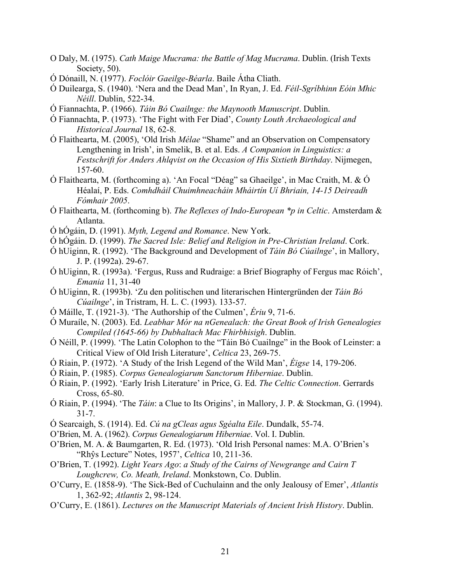- O Daly, M. (1975). *Cath Maige Mucrama: the Battle of Mag Mucrama*. Dublin. (Irish Texts Society, 50).
- Ó Dónaill, N. (1977). *Foclóir Gaeilge-Béarla*. Baile Átha Cliath.
- Ó Duilearga, S. (1940). 'Nera and the Dead Man', In Ryan, J. Ed. *Féil-Sgríbhinn Eóin Mhic Néill*. Dublin, 522-34.
- Ó Fiannachta, P. (1966). *Táin Bó Cuailnge: the Maynooth Manuscript*. Dublin.
- Ó Fiannachta, P. (1973). 'The Fight with Fer Diad', *County Louth Archaeological and Historical Journal* 18, 62-8.
- Ó Flaithearta, M. (2005), 'Old Irish *Mélae* "Shame" and an Observation on Compensatory Lengthening in Irish', in Smelik, B. et al. Eds. *A Companion in Linguistics: a Festschrift for Anders Ahlqvist on the Occasion of His Sixtieth Birthday*. Nijmegen, 157-60.
- Ó Flaithearta, M. (forthcoming a). 'An Focal "Déag" sa Ghaeilge', in Mac Craith, M. & Ó Héalaí, P. Eds. *Comhdháil Chuimhneacháin Mháirtín Uí Bhriain, 14-15 Deireadh Fómhair 2005*.
- Ó Flaithearta, M. (forthcoming b). *The Reflexes of Indo-European \*p in Celtic*. Amsterdam & Atlanta.
- Ó hÓgáin, D. (1991). *Myth, Legend and Romance*. New York.
- Ó hÓgáin. D. (1999). *The Sacred Isle: Belief and Religion in Pre-Christian Ireland*. Cork.
- Ó hUiginn, R. (1992). 'The Background and Development of *Táin Bó Cúailnge*', in Mallory, J. P. (1992a). 29-67.
- Ó hUiginn, R. (1993a). 'Fergus, Russ and Rudraige: a Brief Biography of Fergus mac Róich', *Emania* 11, 31-40
- Ó hUiginn, R. (1993b). 'Zu den politischen und literarischen Hintergründen der *Táin Bó Cúailnge*', in Tristram, H. L. C. (1993). 133-57.
- Ó Máille, T. (1921-3). 'The Authorship of the Culmen', *Ériu* 9, 71-6.
- Ó Muraíle, N. (2003). Ed. *Leabhar Mór na nGenealach: the Great Book of Irish Genealogies Compiled (1645-66) by Dubhaltach Mac Fhirbhisigh*. Dublin.
- Ó Néill, P. (1999). 'The Latin Colophon to the "Táin Bó Cuailnge" in the Book of Leinster: a Critical View of Old Irish Literature', *Celtica* 23, 269-75.
- Ó Riain, P. (1972). 'A Study of the Irish Legend of the Wild Man', *Éigse* 14, 179-206.
- Ó Riain, P. (1985). *Corpus Genealogiarum Sanctorum Hiberniae*. Dublin.
- Ó Riain, P. (1992). 'Early Irish Literature' in Price, G. Ed. *The Celtic Connection*. Gerrards Cross, 65-80.
- Ó Riain, P. (1994). 'The *Táin*: a Clue to Its Origins', in Mallory, J. P. & Stockman, G. (1994). 31-7.
- Ó Searcaigh, S. (1914). Ed. *Cú na gCleas agus Sgéalta Eile*. Dundalk, 55-74.
- O'Brien, M. A. (1962). *Corpus Genealogiarum Hiberniae*. Vol. I. Dublin.
- O'Brien, M. A. & Baumgarten, R. Ed. (1973). 'Old Irish Personal names: M.A. O'Brien's "Rhŷs Lecture" Notes, 1957', *Celtica* 10, 211-36.
- O'Brien, T. (1992). *Light Years Ago*: *a Study of the Cairns of Newgrange and Cairn T Loughcrew, Co. Meath, Ireland*. Monkstown, Co. Dublin.
- O'Curry, E. (1858-9). 'The Sick-Bed of Cuchulainn and the only Jealousy of Emer', *Atlantis* 1, 362-92; *Atlantis* 2, 98-124.
- O'Curry, E. (1861). *Lectures on the Manuscript Materials of Ancient Irish History*. Dublin.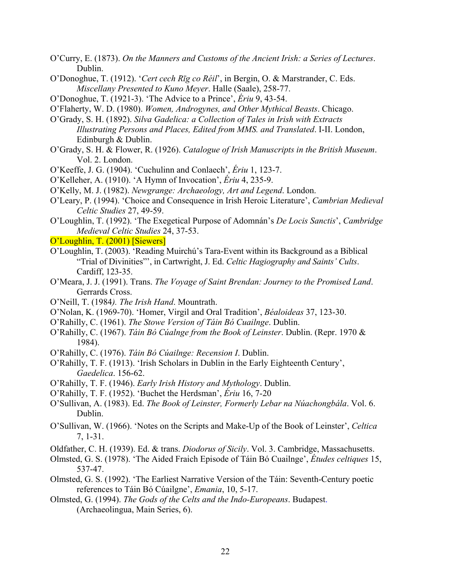- O'Curry, E. (1873). *On the Manners and Customs of the Ancient Irish: a Series of Lectures*. Dublin.
- O'Donoghue, T. (1912). '*Cert cech Rīg co Réil*', in Bergin, O. & Marstrander, C. Eds. *Miscellany Presented to Kuno Meyer*. Halle (Saale), 258-77.
- O'Donoghue, T. (1921-3). 'The Advice to a Prince', *Ériu* 9, 43-54.
- O'Flaherty, W. D. (1980). *Women, Androgynes, and Other Mythical Beasts*. Chicago.
- O'Grady, S. H. (1892). *Silva Gadelica: a Collection of Tales in Irish with Extracts Illustrating Persons and Places, Edited from MMS. and Translated*. I-II. London, Edinburgh & Dublin.
- O'Grady, S. H. & Flower, R. (1926). *Catalogue of Irish Manuscripts in the British Museum*. Vol. 2. London.
- O'Keeffe, J. G. (1904). 'Cuchulinn and Conlaech', *Ériu* 1, 123-7.
- O'Kelleher, A. (1910). 'A Hymn of Invocation', *Ériu* 4, 235-9.
- O'Kelly, M. J. (1982). *Newgrange: Archaeology, Art and Legend*. London.
- O'Leary, P. (1994). 'Choice and Consequence in Irish Heroic Literature', *Cambrian Medieval Celtic Studies* 27, 49-59.
- O'Loughlin, T. (1992). 'The Exegetical Purpose of Adomnán's *De Locis Sanctis*', *Cambridge Medieval Celtic Studies* 24, 37-53.
- O'Loughlin, T. (2001) [Siewers]
- O'Loughlin, T. (2003). 'Reading Muirchú's Tara-Event within its Background as a Biblical "Trial of Divinities"', in Cartwright, J. Ed. *Celtic Hagiography and Saints' Cults*. Cardiff, 123-35.
- O'Meara, J. J. (1991). Trans. *The Voyage of Saint Brendan: Journey to the Promised Land*. Gerrards Cross.
- O'Neill, T. (1984*). The Irish Hand*. Mountrath.
- O'Nolan, K. (1969-70). 'Homer, Virgil and Oral Tradition', *Béaloideas* 37, 123-30.
- O'Rahilly, C. (1961). *The Stowe Version of Táin Bó Cuailnge*. Dublin.
- O'Rahilly, C. (1967). *Táin Bó Cúalnge from the Book of Leinster*. Dublin. (Repr. 1970 & 1984).
- O'Rahilly, C. (1976). *Táin Bó Cúailnge: Recension I*. Dublin.
- O'Rahilly, T. F. (1913). 'Irish Scholars in Dublin in the Early Eighteenth Century', *Gaedelica*. 156-62.
- O'Rahilly, T. F. (1946). *Early Irish History and Mythology*. Dublin.
- O'Rahilly, T. F. (1952). 'Buchet the Herdsman', *Ériu* 16, 7-20
- O'Sullivan, A. (1983). Ed. *The Book of Leinster, Formerly Lebar na Núachongbála*. Vol. 6. Dublin.
- O'Sullivan, W. (1966). 'Notes on the Scripts and Make-Up of the Book of Leinster', *Celtica* 7, 1-31.
- Oldfather, C. H. (1939). Ed. & trans. *Diodorus of Sicily*. Vol. 3. Cambridge, Massachusetts.
- Olmsted, G. S. (1978). 'The Aided Fraich Episode of Táin Bó Cuailnge', *Études celtiques* 15, 537-47.
- Olmsted, G. S. (1992). 'The Earliest Narrative Version of the Táin: Seventh-Century poetic references to Táin Bó Cúailgne', *Emania*, 10, 5-17.
- Olmsted, G. (1994). *The Gods of the Celts and the Indo-Europeans*. Budapest. (Archaeolingua, Main Series, 6).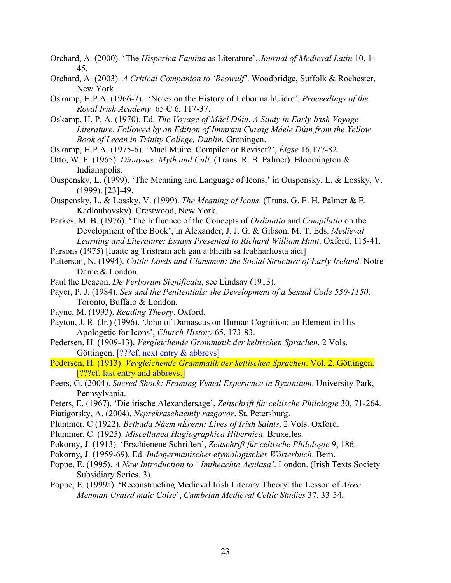- Orchard, A. (2000). 'The *Hisperica Famina* as Literature', *Journal of Medieval Latin* 10, 1- 45.
- Orchard, A. (2003). *A Critical Companion to 'Beowulf'*. Woodbridge, Suffolk & Rochester, New York.
- Oskamp, H.P.A. (1966-7). 'Notes on the History of Lebor na hUidre', *Proceedings of the Royal Irish Academy* 65 C 6, 117-37.
- Oskamp, H. P. A. (1970). Ed. *The Voyage of Máel Dúin*. *A Study in Early Irish Voyage Literature*. *Followed by an Edition of Immram Curaig Máele Dúin from the Yellow Book of Lecan in Trinity College, Dublin*. Groningen.
- Oskamp, H.P.A. (1975-6). 'Mael Muire: Compiler or Reviser?', *Éigse* 16,177-82.
- Otto, W. F. (1965). *Dionysus: Myth and Cult*. (Trans. R. B. Palmer). Bloomington & Indianapolis.
- Ouspensky, L. (1999). 'The Meaning and Language of Icons,' in Ouspensky, L. & Lossky, V. (1999). [23]-49.
- Ouspensky, L. & Lossky, V. (1999). *The Meaning of Icons*. (Trans. G. E. H. Palmer & E. Kadloubovsky). Crestwood, New York.
- Parkes, M. B. (1976). 'The Influence of the Concepts of *Ordinatio* and *Compilatio* on the Development of the Book', in Alexander, J. J. G. & Gibson, M. T. Eds. *Medieval Learning and Literature: Essays Presented to Richard William Hunt*. Oxford, 115-41.
- Parsons (1975) [luaite ag Tristram ach gan a bheith sa leabharliosta aici]
- Patterson, N. (1994). *Cattle-Lords and Clansmen: the Social Structure of Early Ireland*. Notre Dame & London.
- Paul the Deacon. *De Verborum Significatu*, see Lindsay (1913).
- Payer, P. J. (1984). *Sex and the Penitentials: the Development of a Sexual Code 550-1150*. Toronto, Buffalo & London.
- Payne, M. (1993). *Reading Theory*. Oxford.
- Payton, J. R. (Jr.) (1996). 'John of Damascus on Human Cognition: an Element in His Apologetic for Icons', *Church History* 65, 173-83.
- Pedersen, H. (1909-13). *Vergleichende Grammatik der keltischen Sprachen*. 2 Vols. Göttingen. [???cf. next entry & abbrevs]
- Pedersen, H. (1913). *Vergleichende Grammatik der keltischen Sprachen*. Vol. 2. Göttingen. [???cf. last entry and abbrevs.]
- Peers, G. (2004). *Sacred Shock: Framing Visual Experience in Byzantium*. University Park, Pennsylvania.
- Peters, E. (1967). 'Die irische Alexandersage', *Zeitschrift für celtische Philologie* 30, 71-264.
- Piatigorsky, A. (2004). *Neprekraschaemiy razgovor*. St. Petersburg.
- Plummer, C (1922). *Bethada Náem nÉrenn: Lives of Irish Saints*. 2 Vols. Oxford.
- Plummer, C. (1925). *Miscellanea Hagiographica Hibernica*. Bruxelles.
- Pokorny, J. (1913). 'Erschienene Schriften', *Zeitschrift für celtische Philologie* 9, 186.
- Pokorny, J. (1959-69). Ed. *Indogermanisches etymologisches Wörterbuch*. Bern.
- Poppe, E. (1995). *A New Introduction to ' Imtheachta Aeniasa'*. London. (Irish Texts Society Subsidiary Series, 3).
- Poppe, E. (1999a). 'Reconstructing Medieval Irish Literary Theory: the Lesson of *Airec Menman Uraird maic Coise*', *Cambrian Medieval Celtic Studies* 37, 33-54.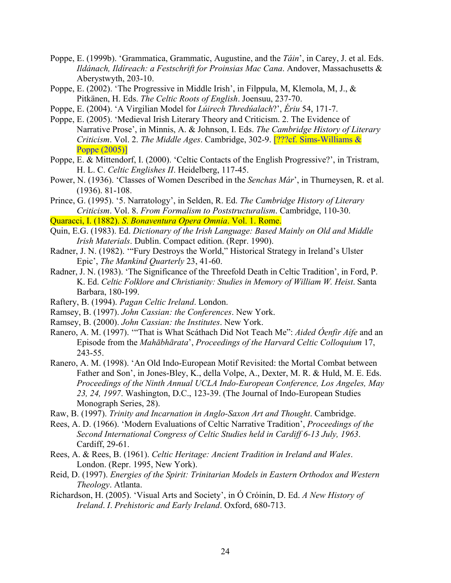- Poppe, E. (1999b). 'Grammatica, Grammatic, Augustine, and the *Táin*', in Carey, J. et al. Eds. *Ildánach, Ildíreach: a Festschrift for Proinsias Mac Cana*. Andover, Massachusetts & Aberystwyth, 203-10.
- Poppe, E. (2002). 'The Progressive in Middle Irish', in Filppula, M, Klemola, M, J., & Pitkänen, H. Eds. *The Celtic Roots of English*. Joensuu, 237-70.
- Poppe, E. (2004). 'A Virgilian Model for *Lúirech Thredúalach*?', *Ériu* 54, 171-7.
- Poppe, E. (2005). 'Medieval Irish Literary Theory and Criticism. 2. The Evidence of Narrative Prose', in Minnis, A. & Johnson, I. Eds. *The Cambridge History of Literary Criticism*. Vol. 2. *The Middle Ages*. Cambridge, 302-9. [???cf. Sims-Williams & Poppe (2005)]
- Poppe, E. & Mittendorf, I. (2000). 'Celtic Contacts of the English Progressive?', in Tristram, H. L. C. *Celtic Englishes II*. Heidelberg, 117-45.
- Power, N. (1936). 'Classes of Women Described in the *Senchas Már*', in Thurneysen, R. et al. (1936). 81-108.
- Prince, G. (1995). '5. Narratology', in Selden, R. Ed. *The Cambridge History of Literary Criticism*. Vol. 8. *From Formalism to Poststructuralism*. Cambridge, 110-30.

Quaracci, I. (1882). *S*. *Bonaventura Opera Omnia*. Vol. 1. Rome.

- Quin, E.G. (1983). Ed. *Dictionary of the Irish Language: Based Mainly on Old and Middle Irish Materials*. Dublin. Compact edition. (Repr. 1990).
- Radner, J. N. (1982). '"Fury Destroys the World," Historical Strategy in Ireland's Ulster Epic', *The Mankind Quarterly* 23, 41-60.
- Radner, J. N. (1983). 'The Significance of the Threefold Death in Celtic Tradition', in Ford, P. K. Ed. *Celtic Folklore and Christianity: Studies in Memory of William W. Heist*. Santa Barbara, 180-199.
- Raftery, B. (1994). *Pagan Celtic Ireland*. London.
- Ramsey, B. (1997). *John Cassian: the Conferences*. New York.
- Ramsey, B. (2000). *John Cassian: the Institutes*. New York.
- Ranero, A. M. (1997). '"That is What Scáthach Did Not Teach Me": *Aided Óenfir Aífe* and an Episode from the *Mahābhārata*', *Proceedings of the Harvard Celtic Colloquium* 17, 243-55.
- Ranero, A. M. (1998). 'An Old Indo-European Motif Revisited: the Mortal Combat between Father and Son', in Jones-Bley, K., della Volpe, A., Dexter, M. R. & Huld, M. E. Eds. *Proceedings of the Ninth Annual UCLA Indo-European Conference, Los Angeles, May 23, 24, 1997*. Washington, D.C., 123-39. (The Journal of Indo-European Studies Monograph Series, 28).
- Raw, B. (1997). *Trinity and Incarnation in Anglo-Saxon Art and Thought*. Cambridge.
- Rees, A. D. (1966). 'Modern Evaluations of Celtic Narrative Tradition', *Proceedings of the Second International Congress of Celtic Studies held in Cardiff 6-13 July, 1963*. Cardiff, 29-61.
- Rees, A. & Rees, B. (1961). *Celtic Heritage: Ancient Tradition in Ireland and Wales*. London. (Repr. 1995, New York).
- Reid, D. (1997). *Energies of the Spirit: Trinitarian Models in Eastern Orthodox and Western Theology*. Atlanta.
- Richardson, H. (2005). 'Visual Arts and Society', in Ó Cróinín, D. Ed. *A New History of Ireland*. *I*. *Prehistoric and Early Ireland*. Oxford, 680-713.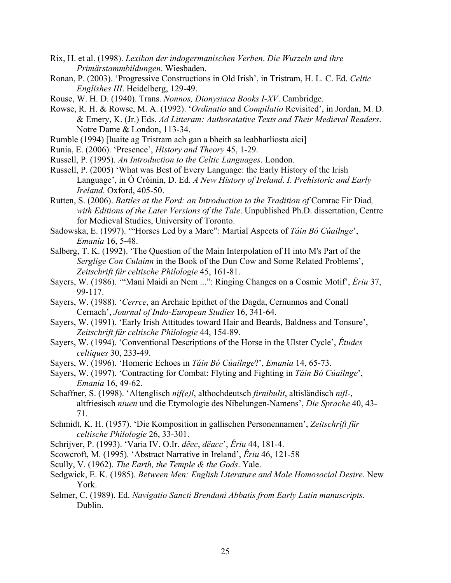- Rix, H. et al. (1998). *Lexikon der indogermanischen Verben*. *Die Wurzeln und ihre Primärstammbildungen*. Wiesbaden.
- Ronan, P. (2003). 'Progressive Constructions in Old Irish', in Tristram, H. L. C. Ed. *Celtic Englishes III*. Heidelberg, 129-49.
- Rouse, W. H. D. (1940). Trans. *Nonnos, Dionysiaca Books I-XV*. Cambridge.
- Rowse, R. H. & Rowse, M. A. (1992). '*Ordinatio* and *Compilatio* Revisited', in Jordan, M. D. & Emery, K. (Jr.) Eds. *Ad Litteram: Authoratative Texts and Their Medieval Readers*. Notre Dame & London, 113-34.
- Rumble (1994) [luaite ag Tristram ach gan a bheith sa leabharliosta aici]
- Runia, E. (2006). 'Presence', *History and Theory* 45, 1-29.
- Russell, P. (1995). *An Introduction to the Celtic Languages*. London.
- Russell, P. (2005) 'What was Best of Every Language: the Early History of the Irish Language', in Ó Cróinín, D. Ed. *A New History of Ireland*. *I*. *Prehistoric and Early Ireland*. Oxford, 405-50.
- Rutten, S. (2006). *Battles at the Ford: an Introduction to the Tradition of* Comrac Fir Diad*, with Editions of the Later Versions of the Tale*. Unpublished Ph.D. dissertation, Centre for Medieval Studies, University of Toronto.
- Sadowska, E. (1997). '"Horses Led by a Mare": Martial Aspects of *Táin Bó Cúailnge*', *Emania* 16, 5-48.
- Salberg, T. K. (1992). 'The Question of the Main Interpolation of H into M's Part of the *Serglige Con Culainn* in the Book of the Dun Cow and Some Related Problems', *Zeitschrift für celtische Philologie* 45, 161-81.
- Sayers, W. (1986). '"Mani Maidi an Nem ...": Ringing Changes on a Cosmic Motif', *Ériu* 37, 99-117.
- Sayers, W. (1988). '*Cerrce*, an Archaic Epithet of the Dagda, Cernunnos and Conall Cernach', *Journal of Indo-European Studies* 16, 341-64.
- Sayers, W. (1991). 'Early Irish Attitudes toward Hair and Beards, Baldness and Tonsure', *Zeitschrift für celtische Philologie* 44, 154-89.
- Sayers, W. (1994). 'Conventional Descriptions of the Horse in the Ulster Cycle', *Études celtiques* 30, 233-49.
- Sayers, W. (1996). 'Homeric Echoes in *Táin Bó Cúailnge*?', *Emania* 14, 65-73.
- Sayers, W. (1997). 'Contracting for Combat: Flyting and Fighting in *Táin Bó Cúailnge*', *Emania* 16, 49-62.
- Schaffner, S. (1998). 'Altenglisch *nif(e)l*, althochdeutsch *firnibulit*, altisländisch *nifl*-, altfriesisch *niuen* und die Etymologie des Nibelungen-Namens', *Die Sprache* 40, 43- 71.
- Schmidt, K. H. (1957). 'Die Komposition in gallischen Personennamen', *Zeitschrift für celtische Philologie* 26, 33-301.
- Schrijver, P. (1993). 'Varia IV. O.Ir. *dëec*, *dëacc*', *Ériu* 44, 181-4.
- Scowcroft, M. (1995). 'Abstract Narrative in Ireland', *Ériu* 46, 121-58
- Scully, V. (1962). *The Earth, the Temple & the Gods*. Yale.
- Sedgwick, E. K. (1985). *Between Men: English Literature and Male Homosocial Desire*. New York.
- Selmer, C. (1989). Ed. *Navigatio Sancti Brendani Abbatis from Early Latin manuscripts*. Dublin.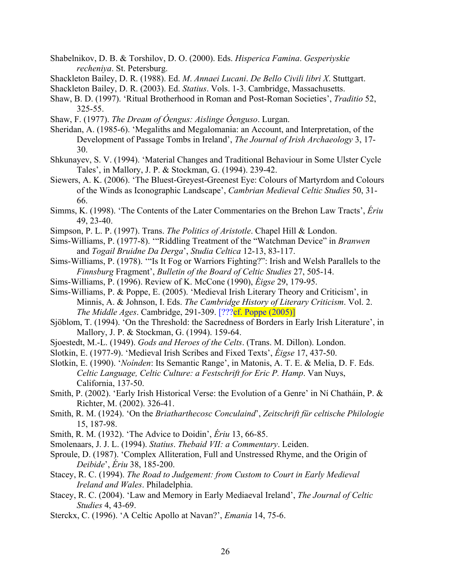- Shabelnikov, D. B. & Torshilov, D. O. (2000). Eds. *Hisperica Famina*. *Gesperiyskie recheniya*. St. Petersburg.
- Shackleton Bailey, D. R. (1988). Ed. *M*. *Annaei Lucani*. *De Bello Civili libri X*. Stuttgart.
- Shackleton Bailey, D. R. (2003). Ed. *Statius*. Vols. 1-3. Cambridge, Massachusetts.
- Shaw, B. D. (1997). 'Ritual Brotherhood in Roman and Post-Roman Societies', *Traditio* 52, 325-55.
- Shaw, F. (1977). *The Dream of Óengus: Aislinge Óenguso*. Lurgan.
- Sheridan, A. (1985-6). 'Megaliths and Megalomania: an Account, and Interpretation, of the Development of Passage Tombs in Ireland', *The Journal of Irish Archaeology* 3, 17- 30.
- Shkunayev, S. V. (1994). 'Material Changes and Traditional Behaviour in Some Ulster Cycle Tales', in Mallory, J. P. & Stockman, G. (1994). 239-42.
- Siewers, A. K. (2006). 'The Bluest-Greyest-Greenest Eye: Colours of Martyrdom and Colours of the Winds as Iconographic Landscape', *Cambrian Medieval Celtic Studies* 50, 31- 66.
- Simms, K. (1998). 'The Contents of the Later Commentaries on the Brehon Law Tracts', *Ériu* 49, 23-40.
- Simpson, P. L. P. (1997). Trans. *The Politics of Aristotle*. Chapel Hill & London.
- Sims-Williams, P. (1977-8). '"Riddling Treatment of the "Watchman Device" in *Branwen*  and *Togail Bruidne Da Derga*', *Studia Celtica* 12-13, 83-117.
- Sims-Williams, P. (1978). '"Is It Fog or Warriors Fighting?": Irish and Welsh Parallels to the *Finnsburg* Fragment', *Bulletin of the Board of Celtic Studies* 27, 505-14.
- Sims-Williams, P. (1996). Review of K. McCone (1990), *Éigse* 29, 179-95.
- Sims-Williams, P. & Poppe, E. (2005). 'Medieval Irish Literary Theory and Criticism', in Minnis, A. & Johnson, I. Eds. *The Cambridge History of Literary Criticism*. Vol. 2. *The Middle Ages.* Cambridge, 291-309. [??? cf. Poppe (2005)]
- Sjöblom, T. (1994). 'On the Threshold: the Sacredness of Borders in Early Irish Literature', in Mallory, J. P. & Stockman, G. (1994). 159-64.
- Sjoestedt, M.-L. (1949). *Gods and Heroes of the Celts*. (Trans. M. Dillon). London.
- Slotkin, E. (1977-9). 'Medieval Irish Scribes and Fixed Texts', *Éigse* 17, 437-50.
- Slotkin, E. (1990). '*Noínden*: Its Semantic Range', in Matonis, A. T. E. & Melia, D. F. Eds. *Celtic Language, Celtic Culture: a Festschrift for Eric P. Hamp*. Van Nuys, California, 137-50.
- Smith, P. (2002). 'Early Irish Historical Verse: the Evolution of a Genre' in Ní Chatháin, P. & Richter, M. (2002). 326-41.
- Smith, R. M. (1924). 'On the *Briatharthecosc Conculaind*', *Zeitschrift für celtische Philologie* 15, 187-98.
- Smith, R. M. (1932). 'The Advice to Doidin', *Ériu* 13, 66-85.
- Smolenaars, J. J. L. (1994). *Statius*. *Thebaid VII: a Commentary*. Leiden.
- Sproule, D. (1987). 'Complex Alliteration, Full and Unstressed Rhyme, and the Origin of *Deibide*', *Ériu* 38, 185-200.
- Stacey, R. C. (1994). *The Road to Judgement: from Custom to Court in Early Medieval Ireland and Wales*. Philadelphia.
- Stacey, R. C. (2004). 'Law and Memory in Early Mediaeval Ireland', *The Journal of Celtic Studies* 4, 43-69.
- Sterckx, C. (1996). 'A Celtic Apollo at Navan?', *Emania* 14, 75-6.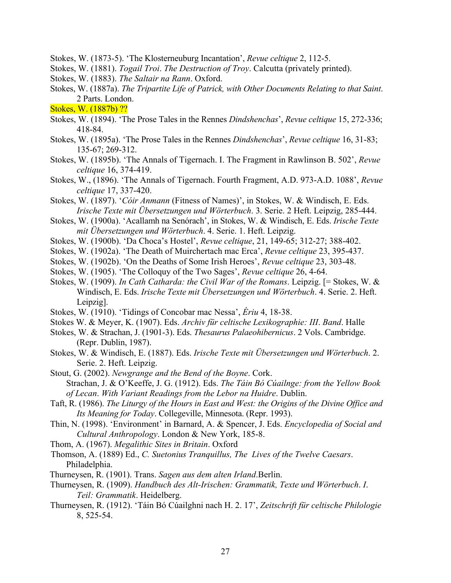- Stokes, W. (1873-5). 'The Klosterneuburg Incantation', *Revue celtique* 2, 112-5.
- Stokes, W. (1881). *Togail Troi*. *The Destruction of Troy*. Calcutta (privately printed).
- Stokes, W. (1883). *The Saltair na Rann*. Oxford.
- Stokes, W. (1887a). *The Tripartite Life of Patrick, with Other Documents Relating to that Saint*. 2 Parts. London.

Stokes, W. (1887b) ??

- Stokes, W. (1894). 'The Prose Tales in the Rennes *Dindshenchas*', *Revue celtique* 15, 272-336; 418-84.
- Stokes, W. (1895a). 'The Prose Tales in the Rennes *Dindshenchas*', *Revue celtique* 16, 31-83; 135-67; 269-312.
- Stokes, W. (1895b). 'The Annals of Tigernach. I. The Fragment in Rawlinson B. 502', *Revue celtique* 16, 374-419.
- Stokes, W., (1896). 'The Annals of Tigernach. Fourth Fragment, A.D. 973-A.D. 1088', *Revue celtique* 17, 337-420.
- Stokes, W. (1897). '*Cóir Anmann* (Fitness of Names)', in Stokes, W. & Windisch, E. Eds. *Irische Texte mit Übersetzungen und Wörterbuch*. 3. Serie. 2 Heft. Leipzig, 285-444.
- Stokes, W. (1900a). 'Acallamh na Senórach', in Stokes, W. & Windisch, E. Eds. *Irische Texte mit Übersetzungen und Wörterbuch*. 4. Serie. 1. Heft. Leipzig.
- Stokes, W. (1900b). 'Da Choca's Hostel', *Revue celtique*, 21, 149-65; 312-27; 388-402.
- Stokes, W. (1902a). 'The Death of Muirchertach mac Erca', *Revue celtique* 23, 395-437.
- Stokes, W. (1902b). 'On the Deaths of Some Irish Heroes', *Revue celtique* 23, 303-48.
- Stokes, W. (1905). 'The Colloquy of the Two Sages', *Revue celtique* 26, 4-64.
- Stokes, W. (1909). *In Cath Catharda: the Civil War of the Romans*. Leipzig. [= Stokes, W. & Windisch, E. Eds. *Irische Texte mit Übersetzungen und Wörterbuch*. 4. Serie. 2. Heft. Leipzig].
- Stokes, W. (1910). 'Tidings of Concobar mac Nessa', *Ériu* 4, 18-38.
- Stokes W. & Meyer, K. (1907). Eds. *Archiv für celtische Lexikographie: III*. *Band*. Halle
- Stokes, W. & Strachan, J. (1901-3). Eds. *Thesaurus Palaeohibernicus*. 2 Vols. Cambridge. (Repr. Dublin, 1987).
- Stokes, W. & Windisch, E. (1887). Eds. *Irische Texte mit Übersetzungen und Wörterbuch*. 2. Serie. 2. Heft. Leipzig.
- Stout, G. (2002). *Newgrange and the Bend of the Boyne*. Cork. Strachan, J. & O'Keeffe, J. G. (1912). Eds. *The Táin Bó Cúailnge: from the Yellow Book* 
	- *of Lecan*. *With Variant Readings from the Lebor na Huidre*. Dublin.
- Taft, R. (1986). *The Liturgy of the Hours in East and West: the Origins of the Divine Office and Its Meaning for Today*. Collegeville, Minnesota. (Repr. 1993).
- Thin, N. (1998). 'Environment' in Barnard, A. & Spencer, J. Eds. *Encyclopedia of Social and Cultural Anthropology*. London & New York, 185-8.
- Thom, A. (1967). *Megalithic Sites in Britain*. Oxford
- Thomson, A. (1889) Ed., *C. Suetonius Tranquillus, The Lives of the Twelve Caesars*. Philadelphia.
- Thurneysen, R. (1901). Trans. *Sagen aus dem alten Irland*.Berlin.
- Thurneysen, R. (1909). *Handbuch des Alt-Irischen: Grammatik, Texte und Wörterbuch*. *I*. *Teil: Grammatik*. Heidelberg.
- Thurneysen, R. (1912). 'Táin Bó Cúailghni nach H. 2. 17', *Zeitschrift für celtische Philologie* 8, 525-54.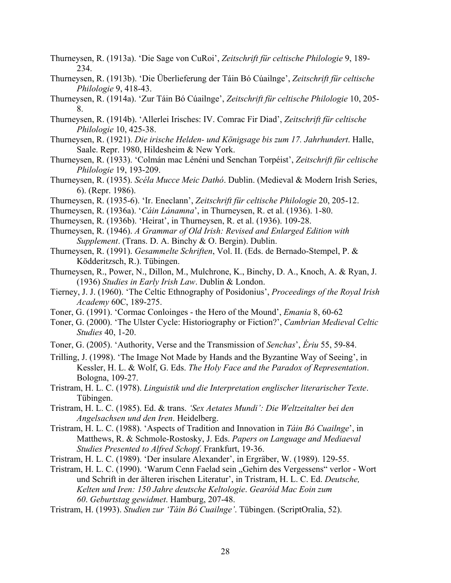- Thurneysen, R. (1913a). 'Die Sage von CuRoi', *Zeitschrift für celtische Philologie* 9, 189- 234.
- Thurneysen, R. (1913b). 'Die Überlieferung der Táin Bó Cúailnge', *Zeitschrift für celtische Philologie* 9, 418-43.
- Thurneysen, R. (1914a). 'Zur Táin Bó Cúailnge', *Zeitschrift für celtische Philologie* 10, 205- 8.
- Thurneysen, R. (1914b). 'Allerlei Irisches: IV. Comrac Fir Diad', *Zeitschrift für celtische Philologie* 10, 425-38.
- Thurneysen, R. (1921). *Die irische Helden- und Königsage bis zum 17. Jahrhundert*. Halle, Saale. Repr. 1980, Hildesheim & New York.
- Thurneysen, R. (1933). 'Colmán mac Lénéni und Senchan Torpéist', *Zeitschrift für celtische Philologie* 19, 193-209.
- Thurneysen, R. (1935). *Scéla Mucce Meic Dathó*. Dublin. (Medieval & Modern Irish Series, 6). (Repr. 1986).
- Thurneysen, R. (1935-6). 'Ir. Eneclann', *Zeitschrift für celtische Philologie* 20, 205-12.
- Thurneysen, R. (1936a). '*Cáin Lánamna*', in Thurneysen, R. et al. (1936). 1-80.
- Thurneysen, R. (1936b). 'Heirat', in Thurneysen, R. et al. (1936). 109-28.
- Thurneysen, R. (1946). *A Grammar of Old Irish: Revised and Enlarged Edition with Supplement*. (Trans. D. A. Binchy & O. Bergin). Dublin.
- Thurneysen, R. (1991). *Gesammelte Schriften*, Vol. II. (Eds. de Bernado-Stempel, P. & Ködderitzsch, R.). Tübingen.
- Thurneysen, R., Power, N., Dillon, M., Mulchrone, K., Binchy, D. A., Knoch, A. & Ryan, J. (1936) *Studies in Early Irish Law*. Dublin & London.
- Tierney, J. J. (1960). 'The Celtic Ethnography of Posidonius', *Proceedings of the Royal Irish Academy* 60C, 189-275.
- Toner, G. (1991). 'Cormac Conloinges the Hero of the Mound', *Emania* 8, 60-62
- Toner, G. (2000). 'The Ulster Cycle: Historiography or Fiction?', *Cambrian Medieval Celtic Studies* 40, 1-20.
- Toner, G. (2005). 'Authority, Verse and the Transmission of *Senchas*', *Ériu* 55, 59-84.
- Trilling, J. (1998). 'The Image Not Made by Hands and the Byzantine Way of Seeing', in Kessler, H. L. & Wolf, G. Eds. *The Holy Face and the Paradox of Representation*. Bologna, 109-27.
- Tristram, H. L. C. (1978). *Linguistik und die Interpretation englischer literarischer Texte*. Tübingen.
- Tristram, H. L. C. (1985). Ed. & trans. *'Sex Aetates Mundi': Die Weltzeitalter bei den Angelsachsen und den Iren*. Heidelberg.
- Tristram, H. L. C. (1988). 'Aspects of Tradition and Innovation in *Táin Bó Cuailnge*', in Matthews, R. & Schmole-Rostosky, J. Eds. *Papers on Language and Mediaeval Studies Presented to Alfred Schopf*. Frankfurt, 19-36.
- Tristram, H. L. C. (1989). 'Der insulare Alexander', in Ergräber, W. (1989). 129-55.
- Tristram, H. L. C. (1990). 'Warum Cenn Faelad sein "Gehirn des Vergessens" verlor Wort und Schrift in der älteren irischen Literatur', in Tristram, H. L. C. Ed. *Deutsche, Kelten und Iren: 150 Jahre deutsche Keltologie*. *Gearóid Mac Eoin zum 60*. *Geburtstag gewidmet*. Hamburg, 207-48.
- Tristram, H. (1993). *Studien zur 'Táin Bó Cuailnge'*. Tübingen. (ScriptOralia, 52).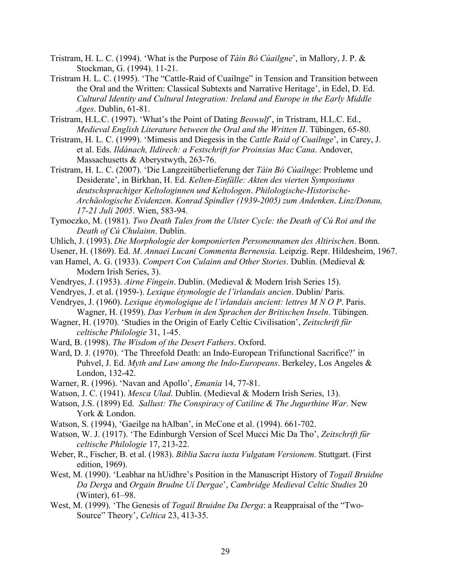- Tristram, H. L. C. (1994). 'What is the Purpose of *Táin Bó Cúailgne*', in Mallory, J. P. & Stockman, G. (1994). 11-21.
- Tristram H. L. C. (1995). 'The "Cattle-Raid of Cuailnge" in Tension and Transition between the Oral and the Written: Classical Subtexts and Narrative Heritage', in Edel, D. Ed. *Cultural Identity and Cultural Integration: Ireland and Europe in the Early Middle Ages*. Dublin, 61-81.
- Tristram, H.L.C. (1997). 'What's the Point of Dating *Beowulf*', in Tristram, H.L.C. Ed., *Medieval English Literature between the Oral and the Written II*. Tübingen, 65-80.
- Tristram, H. L. C. (1999). 'Mimesis and Diegesis in the *Cattle Raid of Cuailnge*', in Carey, J. et al. Eds. *Ildánach, Ildírech: a Festschrift for Proinsias Mac Cana*. Andover, Massachusetts & Aberystwyth, 263-76.
- Tristram, H. L. C. (2007). 'Die Langzeitüberlieferung der *Táin Bó Cúailnge*: Probleme und Desiderate', in Birkhan, H. Ed. *Kelten-Einfälle: Akten des vierten Symposiums deutschsprachiger Keltologinnen und Keltologen*. *Philologische-Historische-Archäologische Evidenzen*. *Konrad Spindler (1939-2005) zum Andenken*. *Linz/Donau, 17-21 Juli 2005*. Wien, 583-94.
- Tymoczko, M. (1981). *Two Death Tales from the Ulster Cycle: the Death of Cú Roi and the Death of Cú Chulainn*. Dublin.
- Uhlich, J. (1993). *Die Morphologie der komponierten Personennamen des Altirischen*. Bonn.
- Usener, H. (1869). Ed. *M*. *Annaei Lucani Commenta Bernensia*. Leipzig. Repr. Hildesheim, 1967.
- van Hamel, A. G. (1933). *Compert Con Culainn and Other Stories*. Dublin. (Medieval & Modern Irish Series, 3).
- Vendryes, J. (1953). *Airne Fíngein*. Dublin. (Medieval & Modern Irish Series 15).
- Vendryes, J. et al. (1959-). *Lexique étymologie de l'irlandais ancien*. Dublin/ Paris.
- Vendryes, J. (1960). *Lexique étymologique de l'irlandais ancient: lettres M N O P*. Paris. Wagner, H. (1959). *Das Verbum in den Sprachen der Britischen Inseln*. Tübingen.
- Wagner, H. (1970). 'Studies in the Origin of Early Celtic Civilisation', *Zeitschrift für celtische Philologie* 31, 1-45.
- Ward, B. (1998). *The Wisdom of the Desert Fathers*. Oxford.
- Ward, D. J. (1970). 'The Threefold Death: an Indo-European Trifunctional Sacrifice?' in Puhvel, J. Ed. *Myth and Law among the Indo-Europeans*. Berkeley, Los Angeles & London, 132-42.
- Warner, R. (1996). 'Navan and Apollo', *Emania* 14, 77-81.
- Watson, J. C. (1941). *Mesca Ulad*. Dublin. (Medieval & Modern Irish Series, 13).
- Watson, J.S. (1899) Ed. *Sallust: The Conspiracy of Catiline & The Jugurthine War*. New York & London.
- Watson, S. (1994), 'Gaeilge na hAlban', in McCone et al. (1994). 661-702.
- Watson, W. J. (1917). 'The Edinburgh Version of Scel Mucci Mic Da Tho', *Zeitschrift für celtische Philologie* 17, 213-22.
- Weber, R., Fischer, B. et al. (1983). *Biblia Sacra iuxta Vulgatam Versionem*. Stuttgart. (First edition, 1969).
- West, M. (1990). 'Leabhar na hUidhre's Position in the Manuscript History of *Togail Bruidne Da Derga* and *Orgain Brudne Uí Dergae*', *Cambridge Medieval Celtic Studies* 20 (Winter), 61–98.
- West, M. (1999). 'The Genesis of *Togail Bruidne Da Derga*: a Reappraisal of the "Two-Source" Theory', *Celtica* 23, 413-35.